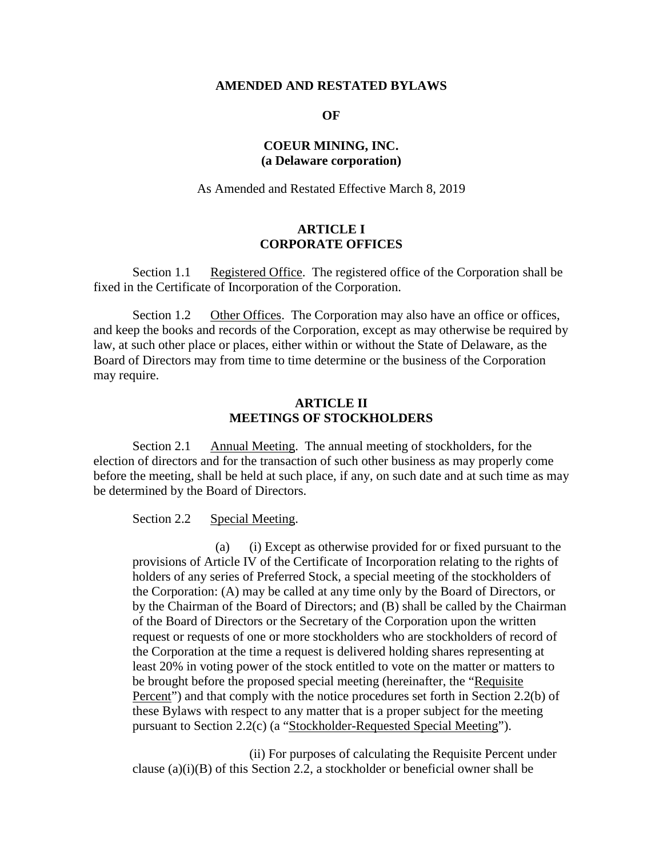#### **AMENDED AND RESTATED BYLAWS**

#### **OF**

# **COEUR MINING, INC. (a Delaware corporation)**

As Amended and Restated Effective March 8, 2019

## **ARTICLE I CORPORATE OFFICES**

Section 1.1 Registered Office. The registered office of the Corporation shall be fixed in the Certificate of Incorporation of the Corporation.

Section 1.2 Other Offices. The Corporation may also have an office or offices, and keep the books and records of the Corporation, except as may otherwise be required by law, at such other place or places, either within or without the State of Delaware, as the Board of Directors may from time to time determine or the business of the Corporation may require.

## **ARTICLE II MEETINGS OF STOCKHOLDERS**

Section 2.1 Annual Meeting. The annual meeting of stockholders, for the election of directors and for the transaction of such other business as may properly come before the meeting, shall be held at such place, if any, on such date and at such time as may be determined by the Board of Directors.

Section 2.2 Special Meeting.

(a) (i) Except as otherwise provided for or fixed pursuant to the provisions of Article IV of the Certificate of Incorporation relating to the rights of holders of any series of Preferred Stock, a special meeting of the stockholders of the Corporation: (A) may be called at any time only by the Board of Directors, or by the Chairman of the Board of Directors; and (B) shall be called by the Chairman of the Board of Directors or the Secretary of the Corporation upon the written request or requests of one or more stockholders who are stockholders of record of the Corporation at the time a request is delivered holding shares representing at least 20% in voting power of the stock entitled to vote on the matter or matters to be brought before the proposed special meeting (hereinafter, the "Requisite Percent") and that comply with the notice procedures set forth in Section 2.2(b) of these Bylaws with respect to any matter that is a proper subject for the meeting pursuant to Section 2.2(c) (a "Stockholder-Requested Special Meeting").

(ii) For purposes of calculating the Requisite Percent under clause  $(a)(i)(B)$  of this Section 2.2, a stockholder or beneficial owner shall be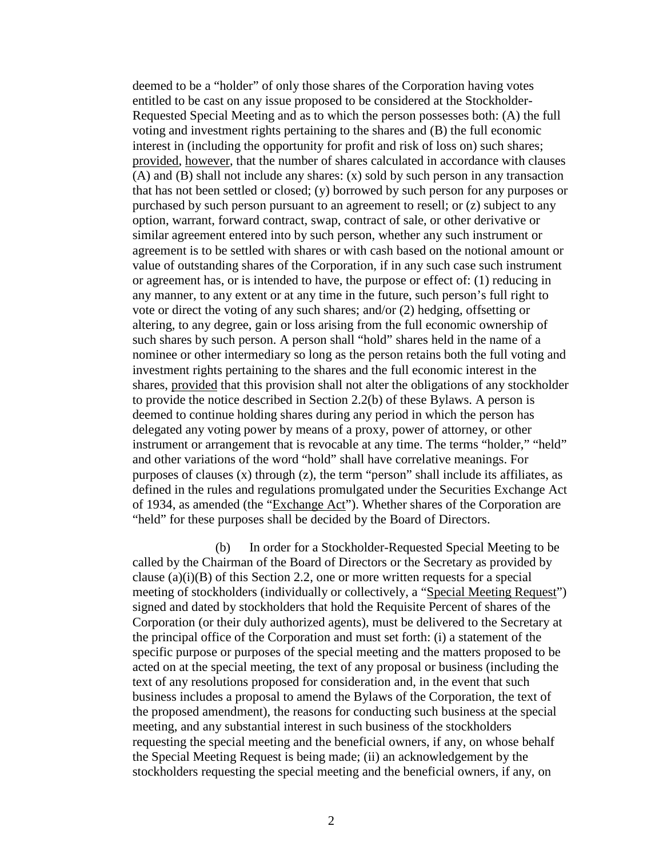deemed to be a "holder" of only those shares of the Corporation having votes entitled to be cast on any issue proposed to be considered at the Stockholder-Requested Special Meeting and as to which the person possesses both: (A) the full voting and investment rights pertaining to the shares and (B) the full economic interest in (including the opportunity for profit and risk of loss on) such shares; provided, however, that the number of shares calculated in accordance with clauses (A) and (B) shall not include any shares: (x) sold by such person in any transaction that has not been settled or closed; (y) borrowed by such person for any purposes or purchased by such person pursuant to an agreement to resell; or (z) subject to any option, warrant, forward contract, swap, contract of sale, or other derivative or similar agreement entered into by such person, whether any such instrument or agreement is to be settled with shares or with cash based on the notional amount or value of outstanding shares of the Corporation, if in any such case such instrument or agreement has, or is intended to have, the purpose or effect of: (1) reducing in any manner, to any extent or at any time in the future, such person's full right to vote or direct the voting of any such shares; and/or (2) hedging, offsetting or altering, to any degree, gain or loss arising from the full economic ownership of such shares by such person. A person shall "hold" shares held in the name of a nominee or other intermediary so long as the person retains both the full voting and investment rights pertaining to the shares and the full economic interest in the shares, provided that this provision shall not alter the obligations of any stockholder to provide the notice described in Section 2.2(b) of these Bylaws. A person is deemed to continue holding shares during any period in which the person has delegated any voting power by means of a proxy, power of attorney, or other instrument or arrangement that is revocable at any time. The terms "holder," "held" and other variations of the word "hold" shall have correlative meanings. For purposes of clauses (x) through (z), the term "person" shall include its affiliates, as defined in the rules and regulations promulgated under the Securities Exchange Act of 1934, as amended (the "Exchange Act"). Whether shares of the Corporation are "held" for these purposes shall be decided by the Board of Directors.

(b) In order for a Stockholder-Requested Special Meeting to be called by the Chairman of the Board of Directors or the Secretary as provided by clause  $(a)(i)(B)$  of this Section 2.2, one or more written requests for a special meeting of stockholders (individually or collectively, a "Special Meeting Request") signed and dated by stockholders that hold the Requisite Percent of shares of the Corporation (or their duly authorized agents), must be delivered to the Secretary at the principal office of the Corporation and must set forth: (i) a statement of the specific purpose or purposes of the special meeting and the matters proposed to be acted on at the special meeting, the text of any proposal or business (including the text of any resolutions proposed for consideration and, in the event that such business includes a proposal to amend the Bylaws of the Corporation, the text of the proposed amendment), the reasons for conducting such business at the special meeting, and any substantial interest in such business of the stockholders requesting the special meeting and the beneficial owners, if any, on whose behalf the Special Meeting Request is being made; (ii) an acknowledgement by the stockholders requesting the special meeting and the beneficial owners, if any, on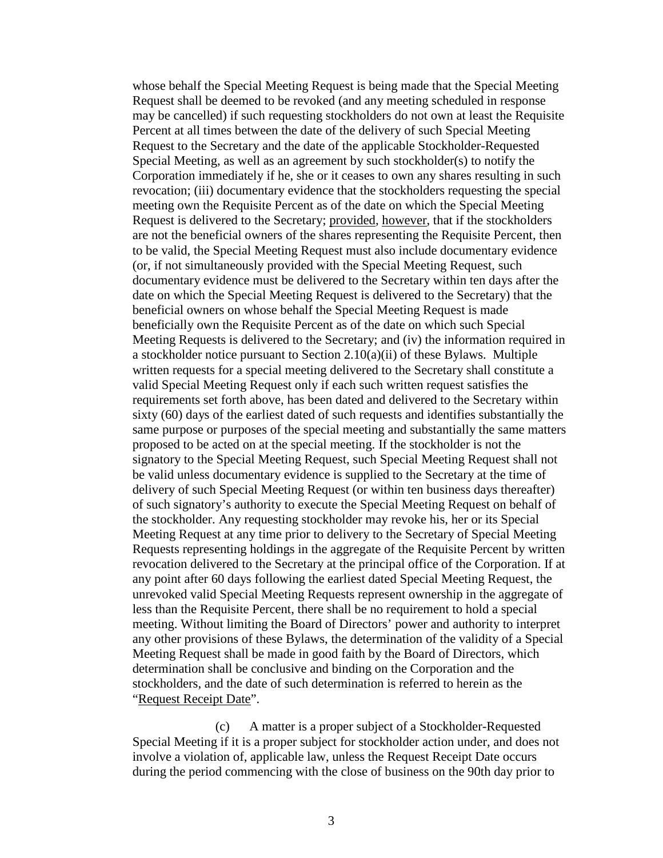whose behalf the Special Meeting Request is being made that the Special Meeting Request shall be deemed to be revoked (and any meeting scheduled in response may be cancelled) if such requesting stockholders do not own at least the Requisite Percent at all times between the date of the delivery of such Special Meeting Request to the Secretary and the date of the applicable Stockholder-Requested Special Meeting, as well as an agreement by such stockholder(s) to notify the Corporation immediately if he, she or it ceases to own any shares resulting in such revocation; (iii) documentary evidence that the stockholders requesting the special meeting own the Requisite Percent as of the date on which the Special Meeting Request is delivered to the Secretary; provided, however, that if the stockholders are not the beneficial owners of the shares representing the Requisite Percent, then to be valid, the Special Meeting Request must also include documentary evidence (or, if not simultaneously provided with the Special Meeting Request, such documentary evidence must be delivered to the Secretary within ten days after the date on which the Special Meeting Request is delivered to the Secretary) that the beneficial owners on whose behalf the Special Meeting Request is made beneficially own the Requisite Percent as of the date on which such Special Meeting Requests is delivered to the Secretary; and (iv) the information required in a stockholder notice pursuant to Section 2.10(a)(ii) of these Bylaws. Multiple written requests for a special meeting delivered to the Secretary shall constitute a valid Special Meeting Request only if each such written request satisfies the requirements set forth above, has been dated and delivered to the Secretary within sixty (60) days of the earliest dated of such requests and identifies substantially the same purpose or purposes of the special meeting and substantially the same matters proposed to be acted on at the special meeting. If the stockholder is not the signatory to the Special Meeting Request, such Special Meeting Request shall not be valid unless documentary evidence is supplied to the Secretary at the time of delivery of such Special Meeting Request (or within ten business days thereafter) of such signatory's authority to execute the Special Meeting Request on behalf of the stockholder. Any requesting stockholder may revoke his, her or its Special Meeting Request at any time prior to delivery to the Secretary of Special Meeting Requests representing holdings in the aggregate of the Requisite Percent by written revocation delivered to the Secretary at the principal office of the Corporation. If at any point after 60 days following the earliest dated Special Meeting Request, the unrevoked valid Special Meeting Requests represent ownership in the aggregate of less than the Requisite Percent, there shall be no requirement to hold a special meeting. Without limiting the Board of Directors' power and authority to interpret any other provisions of these Bylaws, the determination of the validity of a Special Meeting Request shall be made in good faith by the Board of Directors, which determination shall be conclusive and binding on the Corporation and the stockholders, and the date of such determination is referred to herein as the "Request Receipt Date".

(c) A matter is a proper subject of a Stockholder-Requested Special Meeting if it is a proper subject for stockholder action under, and does not involve a violation of, applicable law, unless the Request Receipt Date occurs during the period commencing with the close of business on the 90th day prior to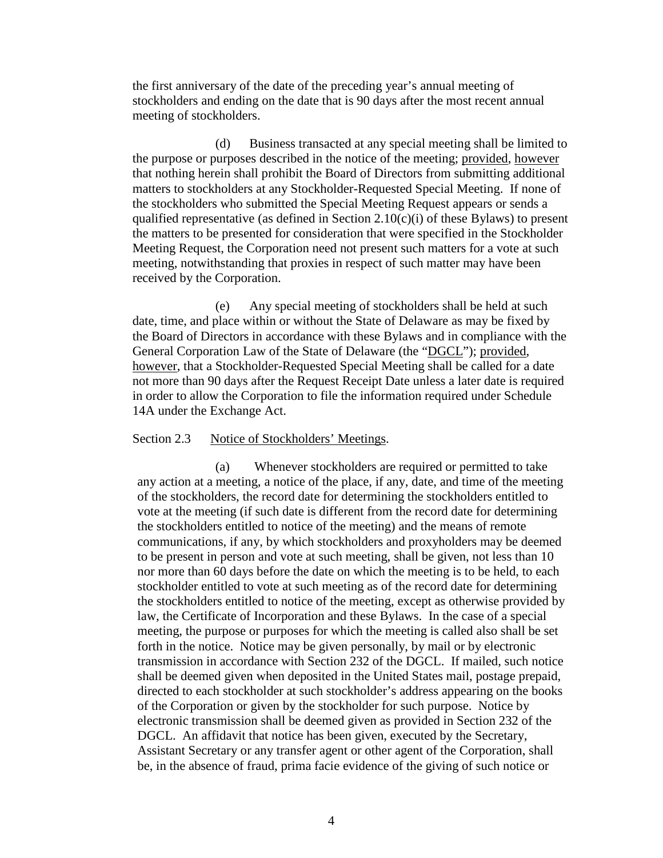the first anniversary of the date of the preceding year's annual meeting of stockholders and ending on the date that is 90 days after the most recent annual meeting of stockholders.

(d) Business transacted at any special meeting shall be limited to the purpose or purposes described in the notice of the meeting; provided, however that nothing herein shall prohibit the Board of Directors from submitting additional matters to stockholders at any Stockholder-Requested Special Meeting. If none of the stockholders who submitted the Special Meeting Request appears or sends a qualified representative (as defined in Section  $2.10(c)(i)$  of these Bylaws) to present the matters to be presented for consideration that were specified in the Stockholder Meeting Request, the Corporation need not present such matters for a vote at such meeting, notwithstanding that proxies in respect of such matter may have been received by the Corporation.

(e) Any special meeting of stockholders shall be held at such date, time, and place within or without the State of Delaware as may be fixed by the Board of Directors in accordance with these Bylaws and in compliance with the General Corporation Law of the State of Delaware (the "DGCL"); provided, however, that a Stockholder-Requested Special Meeting shall be called for a date not more than 90 days after the Request Receipt Date unless a later date is required in order to allow the Corporation to file the information required under Schedule 14A under the Exchange Act.

#### Section 2.3 Notice of Stockholders' Meetings.

(a) Whenever stockholders are required or permitted to take any action at a meeting, a notice of the place, if any, date, and time of the meeting of the stockholders, the record date for determining the stockholders entitled to vote at the meeting (if such date is different from the record date for determining the stockholders entitled to notice of the meeting) and the means of remote communications, if any, by which stockholders and proxyholders may be deemed to be present in person and vote at such meeting, shall be given, not less than 10 nor more than 60 days before the date on which the meeting is to be held, to each stockholder entitled to vote at such meeting as of the record date for determining the stockholders entitled to notice of the meeting, except as otherwise provided by law, the Certificate of Incorporation and these Bylaws. In the case of a special meeting, the purpose or purposes for which the meeting is called also shall be set forth in the notice. Notice may be given personally, by mail or by electronic transmission in accordance with Section 232 of the DGCL. If mailed, such notice shall be deemed given when deposited in the United States mail, postage prepaid, directed to each stockholder at such stockholder's address appearing on the books of the Corporation or given by the stockholder for such purpose. Notice by electronic transmission shall be deemed given as provided in Section 232 of the DGCL. An affidavit that notice has been given, executed by the Secretary, Assistant Secretary or any transfer agent or other agent of the Corporation, shall be, in the absence of fraud, prima facie evidence of the giving of such notice or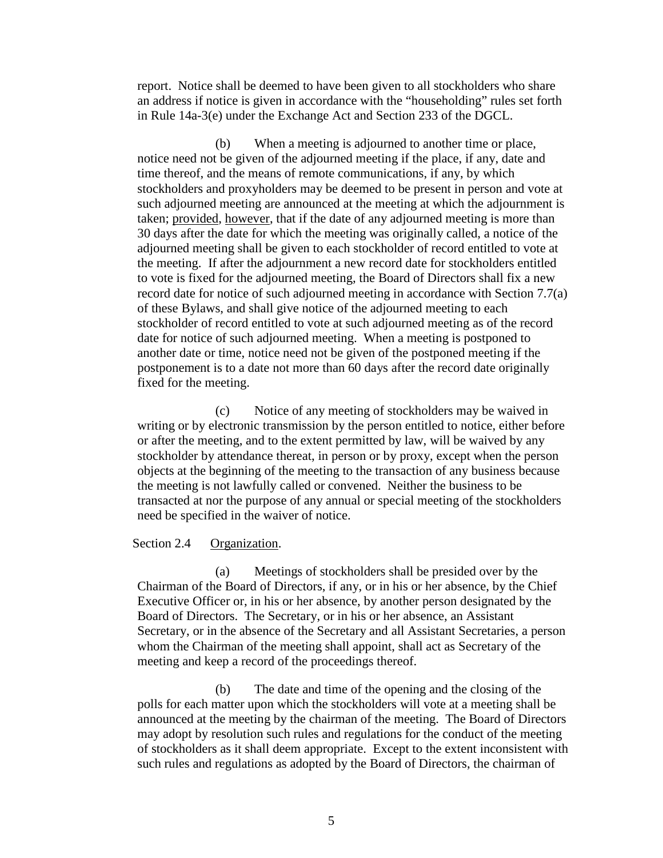report. Notice shall be deemed to have been given to all stockholders who share an address if notice is given in accordance with the "householding" rules set forth in Rule 14a-3(e) under the Exchange Act and Section 233 of the DGCL.

(b) When a meeting is adjourned to another time or place, notice need not be given of the adjourned meeting if the place, if any, date and time thereof, and the means of remote communications, if any, by which stockholders and proxyholders may be deemed to be present in person and vote at such adjourned meeting are announced at the meeting at which the adjournment is taken; provided, however, that if the date of any adjourned meeting is more than 30 days after the date for which the meeting was originally called, a notice of the adjourned meeting shall be given to each stockholder of record entitled to vote at the meeting. If after the adjournment a new record date for stockholders entitled to vote is fixed for the adjourned meeting, the Board of Directors shall fix a new record date for notice of such adjourned meeting in accordance with Section 7.7(a) of these Bylaws, and shall give notice of the adjourned meeting to each stockholder of record entitled to vote at such adjourned meeting as of the record date for notice of such adjourned meeting. When a meeting is postponed to another date or time, notice need not be given of the postponed meeting if the postponement is to a date not more than 60 days after the record date originally fixed for the meeting.

(c) Notice of any meeting of stockholders may be waived in writing or by electronic transmission by the person entitled to notice, either before or after the meeting, and to the extent permitted by law, will be waived by any stockholder by attendance thereat, in person or by proxy, except when the person objects at the beginning of the meeting to the transaction of any business because the meeting is not lawfully called or convened. Neither the business to be transacted at nor the purpose of any annual or special meeting of the stockholders need be specified in the waiver of notice.

#### Section 2.4 Organization.

(a) Meetings of stockholders shall be presided over by the Chairman of the Board of Directors, if any, or in his or her absence, by the Chief Executive Officer or, in his or her absence, by another person designated by the Board of Directors. The Secretary, or in his or her absence, an Assistant Secretary, or in the absence of the Secretary and all Assistant Secretaries, a person whom the Chairman of the meeting shall appoint, shall act as Secretary of the meeting and keep a record of the proceedings thereof.

(b) The date and time of the opening and the closing of the polls for each matter upon which the stockholders will vote at a meeting shall be announced at the meeting by the chairman of the meeting. The Board of Directors may adopt by resolution such rules and regulations for the conduct of the meeting of stockholders as it shall deem appropriate. Except to the extent inconsistent with such rules and regulations as adopted by the Board of Directors, the chairman of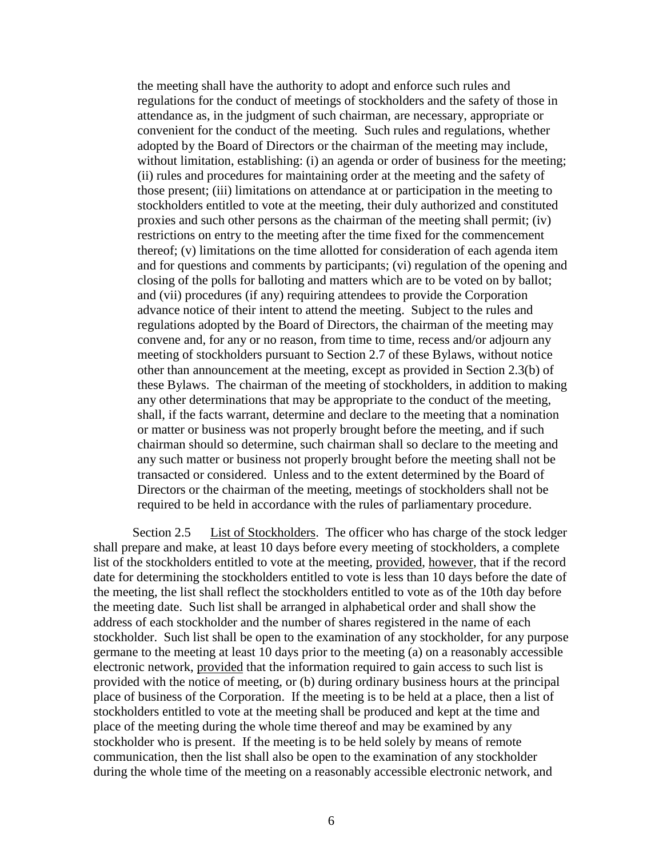the meeting shall have the authority to adopt and enforce such rules and regulations for the conduct of meetings of stockholders and the safety of those in attendance as, in the judgment of such chairman, are necessary, appropriate or convenient for the conduct of the meeting. Such rules and regulations, whether adopted by the Board of Directors or the chairman of the meeting may include, without limitation, establishing: (i) an agenda or order of business for the meeting; (ii) rules and procedures for maintaining order at the meeting and the safety of those present; (iii) limitations on attendance at or participation in the meeting to stockholders entitled to vote at the meeting, their duly authorized and constituted proxies and such other persons as the chairman of the meeting shall permit; (iv) restrictions on entry to the meeting after the time fixed for the commencement thereof; (v) limitations on the time allotted for consideration of each agenda item and for questions and comments by participants; (vi) regulation of the opening and closing of the polls for balloting and matters which are to be voted on by ballot; and (vii) procedures (if any) requiring attendees to provide the Corporation advance notice of their intent to attend the meeting. Subject to the rules and regulations adopted by the Board of Directors, the chairman of the meeting may convene and, for any or no reason, from time to time, recess and/or adjourn any meeting of stockholders pursuant to Section 2.7 of these Bylaws, without notice other than announcement at the meeting, except as provided in Section 2.3(b) of these Bylaws. The chairman of the meeting of stockholders, in addition to making any other determinations that may be appropriate to the conduct of the meeting, shall, if the facts warrant, determine and declare to the meeting that a nomination or matter or business was not properly brought before the meeting, and if such chairman should so determine, such chairman shall so declare to the meeting and any such matter or business not properly brought before the meeting shall not be transacted or considered. Unless and to the extent determined by the Board of Directors or the chairman of the meeting, meetings of stockholders shall not be required to be held in accordance with the rules of parliamentary procedure.

Section 2.5 List of Stockholders. The officer who has charge of the stock ledger shall prepare and make, at least 10 days before every meeting of stockholders, a complete list of the stockholders entitled to vote at the meeting, provided, however, that if the record date for determining the stockholders entitled to vote is less than 10 days before the date of the meeting, the list shall reflect the stockholders entitled to vote as of the 10th day before the meeting date. Such list shall be arranged in alphabetical order and shall show the address of each stockholder and the number of shares registered in the name of each stockholder. Such list shall be open to the examination of any stockholder, for any purpose germane to the meeting at least 10 days prior to the meeting (a) on a reasonably accessible electronic network, provided that the information required to gain access to such list is provided with the notice of meeting, or (b) during ordinary business hours at the principal place of business of the Corporation. If the meeting is to be held at a place, then a list of stockholders entitled to vote at the meeting shall be produced and kept at the time and place of the meeting during the whole time thereof and may be examined by any stockholder who is present. If the meeting is to be held solely by means of remote communication, then the list shall also be open to the examination of any stockholder during the whole time of the meeting on a reasonably accessible electronic network, and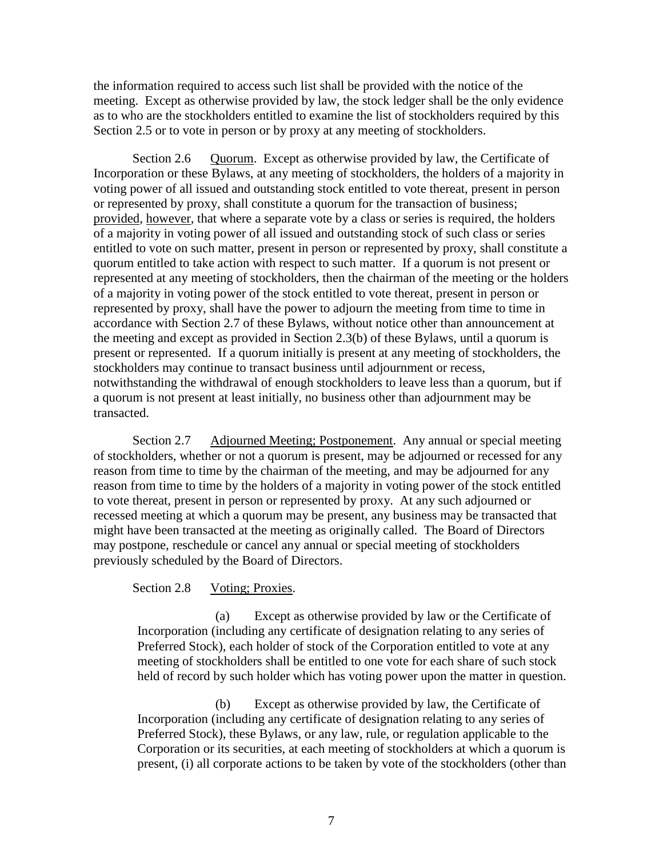the information required to access such list shall be provided with the notice of the meeting. Except as otherwise provided by law, the stock ledger shall be the only evidence as to who are the stockholders entitled to examine the list of stockholders required by this Section 2.5 or to vote in person or by proxy at any meeting of stockholders.

Section 2.6 Quorum. Except as otherwise provided by law, the Certificate of Incorporation or these Bylaws, at any meeting of stockholders, the holders of a majority in voting power of all issued and outstanding stock entitled to vote thereat, present in person or represented by proxy, shall constitute a quorum for the transaction of business; provided, however, that where a separate vote by a class or series is required, the holders of a majority in voting power of all issued and outstanding stock of such class or series entitled to vote on such matter, present in person or represented by proxy, shall constitute a quorum entitled to take action with respect to such matter. If a quorum is not present or represented at any meeting of stockholders, then the chairman of the meeting or the holders of a majority in voting power of the stock entitled to vote thereat, present in person or represented by proxy, shall have the power to adjourn the meeting from time to time in accordance with Section 2.7 of these Bylaws, without notice other than announcement at the meeting and except as provided in Section 2.3(b) of these Bylaws, until a quorum is present or represented. If a quorum initially is present at any meeting of stockholders, the stockholders may continue to transact business until adjournment or recess, notwithstanding the withdrawal of enough stockholders to leave less than a quorum, but if a quorum is not present at least initially, no business other than adjournment may be transacted.

Section 2.7 Adjourned Meeting; Postponement. Any annual or special meeting of stockholders, whether or not a quorum is present, may be adjourned or recessed for any reason from time to time by the chairman of the meeting, and may be adjourned for any reason from time to time by the holders of a majority in voting power of the stock entitled to vote thereat, present in person or represented by proxy. At any such adjourned or recessed meeting at which a quorum may be present, any business may be transacted that might have been transacted at the meeting as originally called. The Board of Directors may postpone, reschedule or cancel any annual or special meeting of stockholders previously scheduled by the Board of Directors.

## Section 2.8 Voting; Proxies.

(a) Except as otherwise provided by law or the Certificate of Incorporation (including any certificate of designation relating to any series of Preferred Stock), each holder of stock of the Corporation entitled to vote at any meeting of stockholders shall be entitled to one vote for each share of such stock held of record by such holder which has voting power upon the matter in question.

(b) Except as otherwise provided by law, the Certificate of Incorporation (including any certificate of designation relating to any series of Preferred Stock), these Bylaws, or any law, rule, or regulation applicable to the Corporation or its securities, at each meeting of stockholders at which a quorum is present, (i) all corporate actions to be taken by vote of the stockholders (other than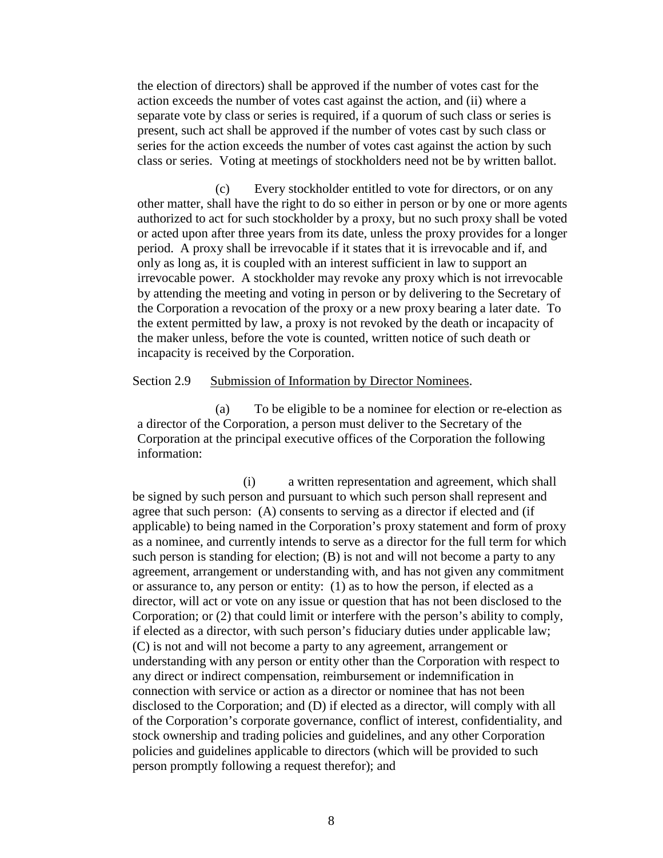the election of directors) shall be approved if the number of votes cast for the action exceeds the number of votes cast against the action, and (ii) where a separate vote by class or series is required, if a quorum of such class or series is present, such act shall be approved if the number of votes cast by such class or series for the action exceeds the number of votes cast against the action by such class or series. Voting at meetings of stockholders need not be by written ballot.

(c) Every stockholder entitled to vote for directors, or on any other matter, shall have the right to do so either in person or by one or more agents authorized to act for such stockholder by a proxy, but no such proxy shall be voted or acted upon after three years from its date, unless the proxy provides for a longer period. A proxy shall be irrevocable if it states that it is irrevocable and if, and only as long as, it is coupled with an interest sufficient in law to support an irrevocable power. A stockholder may revoke any proxy which is not irrevocable by attending the meeting and voting in person or by delivering to the Secretary of the Corporation a revocation of the proxy or a new proxy bearing a later date. To the extent permitted by law, a proxy is not revoked by the death or incapacity of the maker unless, before the vote is counted, written notice of such death or incapacity is received by the Corporation.

#### Section 2.9 Submission of Information by Director Nominees.

(a) To be eligible to be a nominee for election or re-election as a director of the Corporation, a person must deliver to the Secretary of the Corporation at the principal executive offices of the Corporation the following information:

(i) a written representation and agreement, which shall be signed by such person and pursuant to which such person shall represent and agree that such person: (A) consents to serving as a director if elected and (if applicable) to being named in the Corporation's proxy statement and form of proxy as a nominee, and currently intends to serve as a director for the full term for which such person is standing for election; (B) is not and will not become a party to any agreement, arrangement or understanding with, and has not given any commitment or assurance to, any person or entity: (1) as to how the person, if elected as a director, will act or vote on any issue or question that has not been disclosed to the Corporation; or (2) that could limit or interfere with the person's ability to comply, if elected as a director, with such person's fiduciary duties under applicable law; (C) is not and will not become a party to any agreement, arrangement or understanding with any person or entity other than the Corporation with respect to any direct or indirect compensation, reimbursement or indemnification in connection with service or action as a director or nominee that has not been disclosed to the Corporation; and (D) if elected as a director, will comply with all of the Corporation's corporate governance, conflict of interest, confidentiality, and stock ownership and trading policies and guidelines, and any other Corporation policies and guidelines applicable to directors (which will be provided to such person promptly following a request therefor); and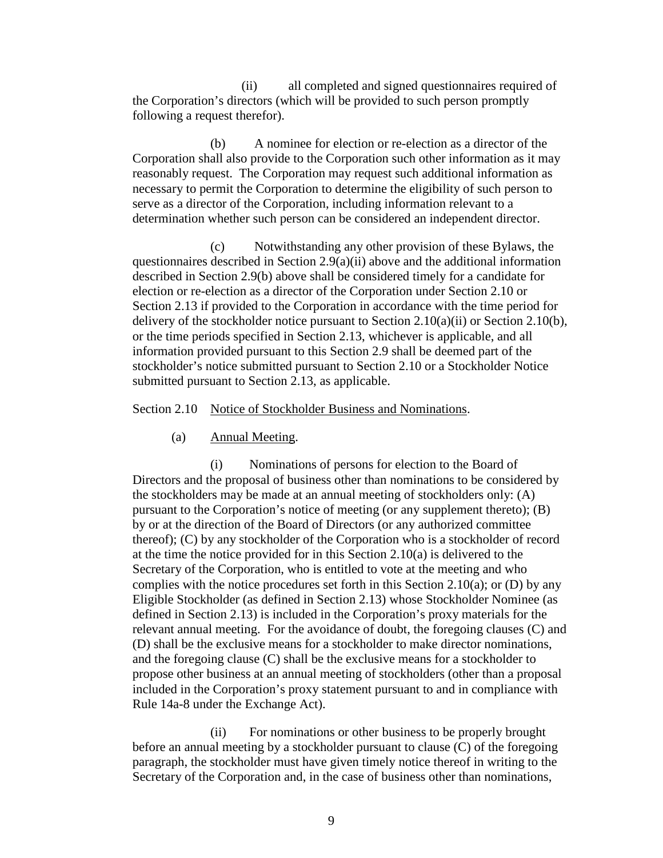(ii) all completed and signed questionnaires required of the Corporation's directors (which will be provided to such person promptly following a request therefor).

(b) A nominee for election or re-election as a director of the Corporation shall also provide to the Corporation such other information as it may reasonably request. The Corporation may request such additional information as necessary to permit the Corporation to determine the eligibility of such person to serve as a director of the Corporation, including information relevant to a determination whether such person can be considered an independent director.

(c) Notwithstanding any other provision of these Bylaws, the questionnaires described in Section 2.9(a)(ii) above and the additional information described in Section 2.9(b) above shall be considered timely for a candidate for election or re-election as a director of the Corporation under Section 2.10 or Section 2.13 if provided to the Corporation in accordance with the time period for delivery of the stockholder notice pursuant to Section 2.10(a)(ii) or Section 2.10(b), or the time periods specified in Section 2.13, whichever is applicable, and all information provided pursuant to this Section 2.9 shall be deemed part of the stockholder's notice submitted pursuant to Section 2.10 or a Stockholder Notice submitted pursuant to Section 2.13, as applicable.

Section 2.10 Notice of Stockholder Business and Nominations.

(a) Annual Meeting.

(i) Nominations of persons for election to the Board of Directors and the proposal of business other than nominations to be considered by the stockholders may be made at an annual meeting of stockholders only: (A) pursuant to the Corporation's notice of meeting (or any supplement thereto); (B) by or at the direction of the Board of Directors (or any authorized committee thereof); (C) by any stockholder of the Corporation who is a stockholder of record at the time the notice provided for in this Section 2.10(a) is delivered to the Secretary of the Corporation, who is entitled to vote at the meeting and who complies with the notice procedures set forth in this Section 2.10(a); or (D) by any Eligible Stockholder (as defined in Section 2.13) whose Stockholder Nominee (as defined in Section 2.13) is included in the Corporation's proxy materials for the relevant annual meeting. For the avoidance of doubt, the foregoing clauses (C) and (D) shall be the exclusive means for a stockholder to make director nominations, and the foregoing clause (C) shall be the exclusive means for a stockholder to propose other business at an annual meeting of stockholders (other than a proposal included in the Corporation's proxy statement pursuant to and in compliance with Rule 14a-8 under the Exchange Act).

(ii) For nominations or other business to be properly brought before an annual meeting by a stockholder pursuant to clause (C) of the foregoing paragraph, the stockholder must have given timely notice thereof in writing to the Secretary of the Corporation and, in the case of business other than nominations,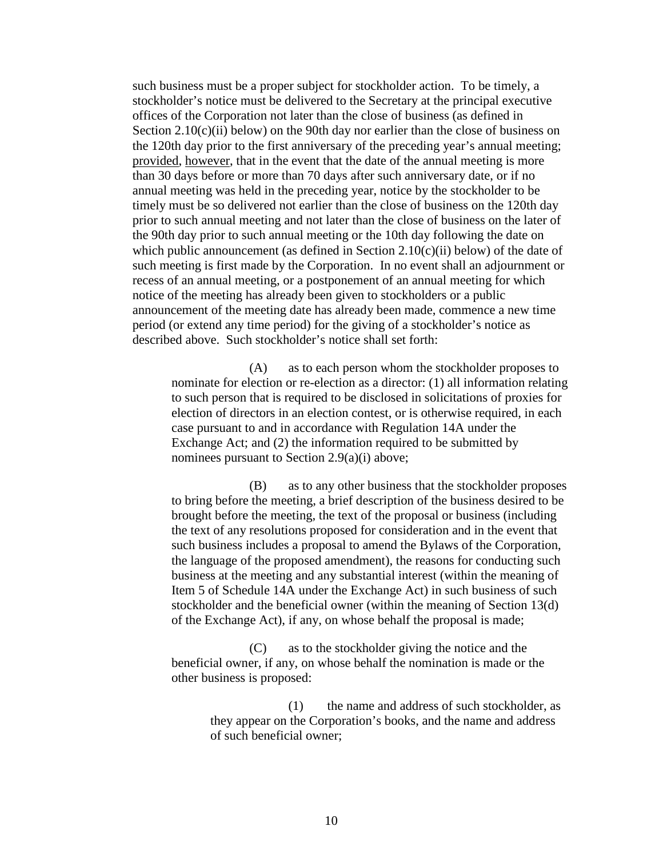such business must be a proper subject for stockholder action. To be timely, a stockholder's notice must be delivered to the Secretary at the principal executive offices of the Corporation not later than the close of business (as defined in Section  $2.10(c)(ii)$  below) on the 90th day nor earlier than the close of business on the 120th day prior to the first anniversary of the preceding year's annual meeting; provided, however, that in the event that the date of the annual meeting is more than 30 days before or more than 70 days after such anniversary date, or if no annual meeting was held in the preceding year, notice by the stockholder to be timely must be so delivered not earlier than the close of business on the 120th day prior to such annual meeting and not later than the close of business on the later of the 90th day prior to such annual meeting or the 10th day following the date on which public announcement (as defined in Section  $2.10(c)(ii)$  below) of the date of such meeting is first made by the Corporation. In no event shall an adjournment or recess of an annual meeting, or a postponement of an annual meeting for which notice of the meeting has already been given to stockholders or a public announcement of the meeting date has already been made, commence a new time period (or extend any time period) for the giving of a stockholder's notice as described above. Such stockholder's notice shall set forth:

(A) as to each person whom the stockholder proposes to nominate for election or re-election as a director: (1) all information relating to such person that is required to be disclosed in solicitations of proxies for election of directors in an election contest, or is otherwise required, in each case pursuant to and in accordance with Regulation 14A under the Exchange Act; and (2) the information required to be submitted by nominees pursuant to Section 2.9(a)(i) above;

(B) as to any other business that the stockholder proposes to bring before the meeting, a brief description of the business desired to be brought before the meeting, the text of the proposal or business (including the text of any resolutions proposed for consideration and in the event that such business includes a proposal to amend the Bylaws of the Corporation, the language of the proposed amendment), the reasons for conducting such business at the meeting and any substantial interest (within the meaning of Item 5 of Schedule 14A under the Exchange Act) in such business of such stockholder and the beneficial owner (within the meaning of Section 13(d) of the Exchange Act), if any, on whose behalf the proposal is made;

(C) as to the stockholder giving the notice and the beneficial owner, if any, on whose behalf the nomination is made or the other business is proposed:

> (1) the name and address of such stockholder, as they appear on the Corporation's books, and the name and address of such beneficial owner;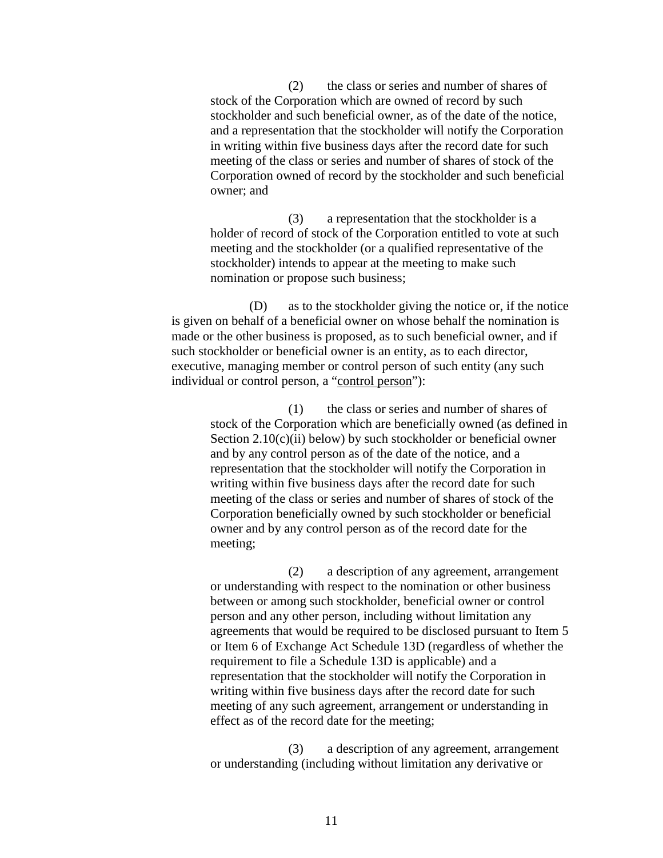(2) the class or series and number of shares of stock of the Corporation which are owned of record by such stockholder and such beneficial owner, as of the date of the notice, and a representation that the stockholder will notify the Corporation in writing within five business days after the record date for such meeting of the class or series and number of shares of stock of the Corporation owned of record by the stockholder and such beneficial owner; and

(3) a representation that the stockholder is a holder of record of stock of the Corporation entitled to vote at such meeting and the stockholder (or a qualified representative of the stockholder) intends to appear at the meeting to make such nomination or propose such business;

(D) as to the stockholder giving the notice or, if the notice is given on behalf of a beneficial owner on whose behalf the nomination is made or the other business is proposed, as to such beneficial owner, and if such stockholder or beneficial owner is an entity, as to each director, executive, managing member or control person of such entity (any such individual or control person, a "control person"):

(1) the class or series and number of shares of stock of the Corporation which are beneficially owned (as defined in Section 2.10(c)(ii) below) by such stockholder or beneficial owner and by any control person as of the date of the notice, and a representation that the stockholder will notify the Corporation in writing within five business days after the record date for such meeting of the class or series and number of shares of stock of the Corporation beneficially owned by such stockholder or beneficial owner and by any control person as of the record date for the meeting;

(2) a description of any agreement, arrangement or understanding with respect to the nomination or other business between or among such stockholder, beneficial owner or control person and any other person, including without limitation any agreements that would be required to be disclosed pursuant to Item 5 or Item 6 of Exchange Act Schedule 13D (regardless of whether the requirement to file a Schedule 13D is applicable) and a representation that the stockholder will notify the Corporation in writing within five business days after the record date for such meeting of any such agreement, arrangement or understanding in effect as of the record date for the meeting;

(3) a description of any agreement, arrangement or understanding (including without limitation any derivative or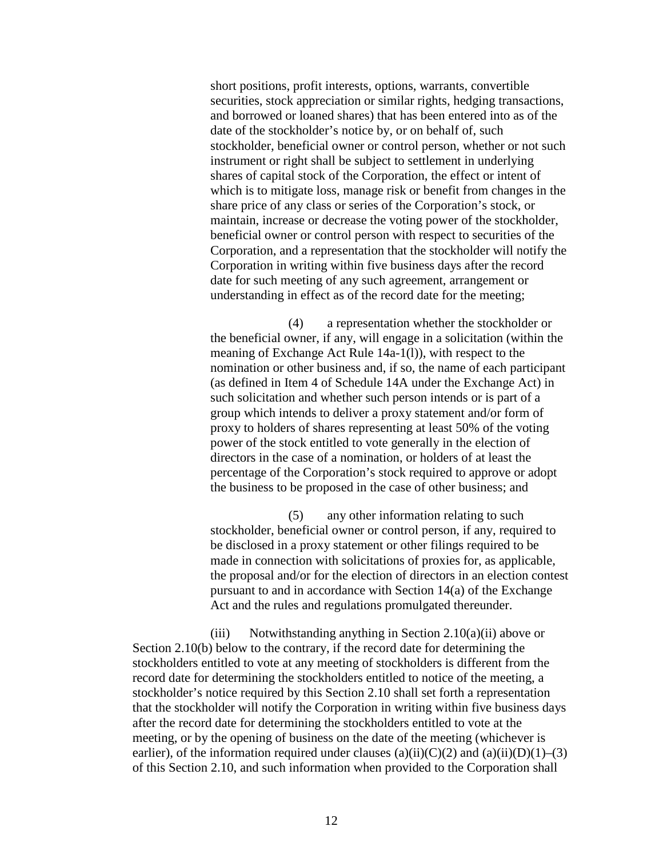short positions, profit interests, options, warrants, convertible securities, stock appreciation or similar rights, hedging transactions, and borrowed or loaned shares) that has been entered into as of the date of the stockholder's notice by, or on behalf of, such stockholder, beneficial owner or control person, whether or not such instrument or right shall be subject to settlement in underlying shares of capital stock of the Corporation, the effect or intent of which is to mitigate loss, manage risk or benefit from changes in the share price of any class or series of the Corporation's stock, or maintain, increase or decrease the voting power of the stockholder, beneficial owner or control person with respect to securities of the Corporation, and a representation that the stockholder will notify the Corporation in writing within five business days after the record date for such meeting of any such agreement, arrangement or understanding in effect as of the record date for the meeting;

(4) a representation whether the stockholder or the beneficial owner, if any, will engage in a solicitation (within the meaning of Exchange Act Rule 14a-1(l)), with respect to the nomination or other business and, if so, the name of each participant (as defined in Item 4 of Schedule 14A under the Exchange Act) in such solicitation and whether such person intends or is part of a group which intends to deliver a proxy statement and/or form of proxy to holders of shares representing at least 50% of the voting power of the stock entitled to vote generally in the election of directors in the case of a nomination, or holders of at least the percentage of the Corporation's stock required to approve or adopt the business to be proposed in the case of other business; and

(5) any other information relating to such stockholder, beneficial owner or control person, if any, required to be disclosed in a proxy statement or other filings required to be made in connection with solicitations of proxies for, as applicable, the proposal and/or for the election of directors in an election contest pursuant to and in accordance with Section 14(a) of the Exchange Act and the rules and regulations promulgated thereunder.

(iii) Notwithstanding anything in Section 2.10(a)(ii) above or Section 2.10(b) below to the contrary, if the record date for determining the stockholders entitled to vote at any meeting of stockholders is different from the record date for determining the stockholders entitled to notice of the meeting, a stockholder's notice required by this Section 2.10 shall set forth a representation that the stockholder will notify the Corporation in writing within five business days after the record date for determining the stockholders entitled to vote at the meeting, or by the opening of business on the date of the meeting (whichever is earlier), of the information required under clauses (a)(ii)(C)(2) and (a)(ii)(D)(1)–(3) of this Section 2.10, and such information when provided to the Corporation shall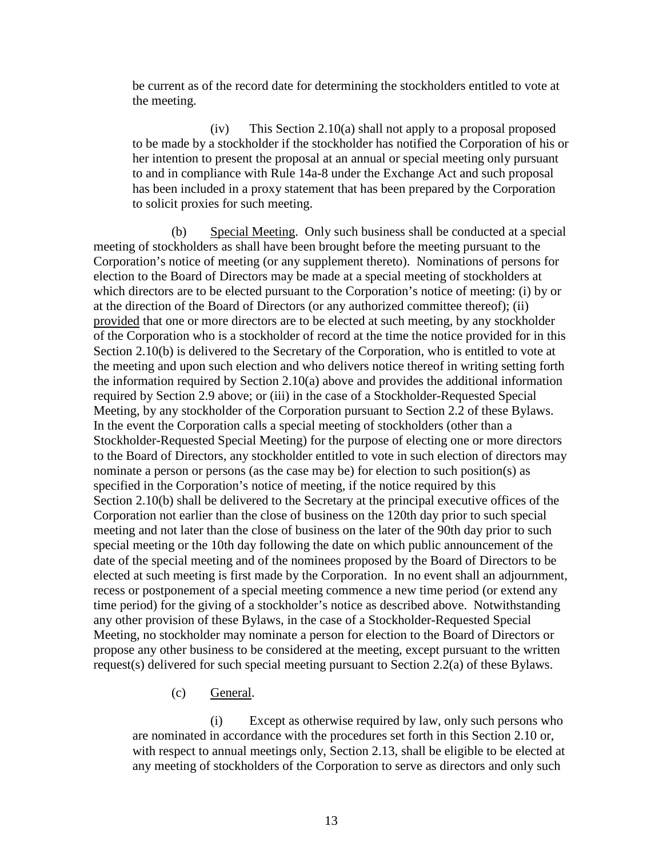be current as of the record date for determining the stockholders entitled to vote at the meeting.

(iv) This Section 2.10(a) shall not apply to a proposal proposed to be made by a stockholder if the stockholder has notified the Corporation of his or her intention to present the proposal at an annual or special meeting only pursuant to and in compliance with Rule 14a-8 under the Exchange Act and such proposal has been included in a proxy statement that has been prepared by the Corporation to solicit proxies for such meeting.

(b) Special Meeting. Only such business shall be conducted at a special meeting of stockholders as shall have been brought before the meeting pursuant to the Corporation's notice of meeting (or any supplement thereto). Nominations of persons for election to the Board of Directors may be made at a special meeting of stockholders at which directors are to be elected pursuant to the Corporation's notice of meeting: (i) by or at the direction of the Board of Directors (or any authorized committee thereof); (ii) provided that one or more directors are to be elected at such meeting, by any stockholder of the Corporation who is a stockholder of record at the time the notice provided for in this Section 2.10(b) is delivered to the Secretary of the Corporation, who is entitled to vote at the meeting and upon such election and who delivers notice thereof in writing setting forth the information required by Section 2.10(a) above and provides the additional information required by Section 2.9 above; or (iii) in the case of a Stockholder-Requested Special Meeting, by any stockholder of the Corporation pursuant to Section 2.2 of these Bylaws. In the event the Corporation calls a special meeting of stockholders (other than a Stockholder-Requested Special Meeting) for the purpose of electing one or more directors to the Board of Directors, any stockholder entitled to vote in such election of directors may nominate a person or persons (as the case may be) for election to such position(s) as specified in the Corporation's notice of meeting, if the notice required by this Section 2.10(b) shall be delivered to the Secretary at the principal executive offices of the Corporation not earlier than the close of business on the 120th day prior to such special meeting and not later than the close of business on the later of the 90th day prior to such special meeting or the 10th day following the date on which public announcement of the date of the special meeting and of the nominees proposed by the Board of Directors to be elected at such meeting is first made by the Corporation. In no event shall an adjournment, recess or postponement of a special meeting commence a new time period (or extend any time period) for the giving of a stockholder's notice as described above. Notwithstanding any other provision of these Bylaws, in the case of a Stockholder-Requested Special Meeting, no stockholder may nominate a person for election to the Board of Directors or propose any other business to be considered at the meeting, except pursuant to the written request(s) delivered for such special meeting pursuant to Section 2.2(a) of these Bylaws.

(c) General.

(i) Except as otherwise required by law, only such persons who are nominated in accordance with the procedures set forth in this Section 2.10 or, with respect to annual meetings only, Section 2.13, shall be eligible to be elected at any meeting of stockholders of the Corporation to serve as directors and only such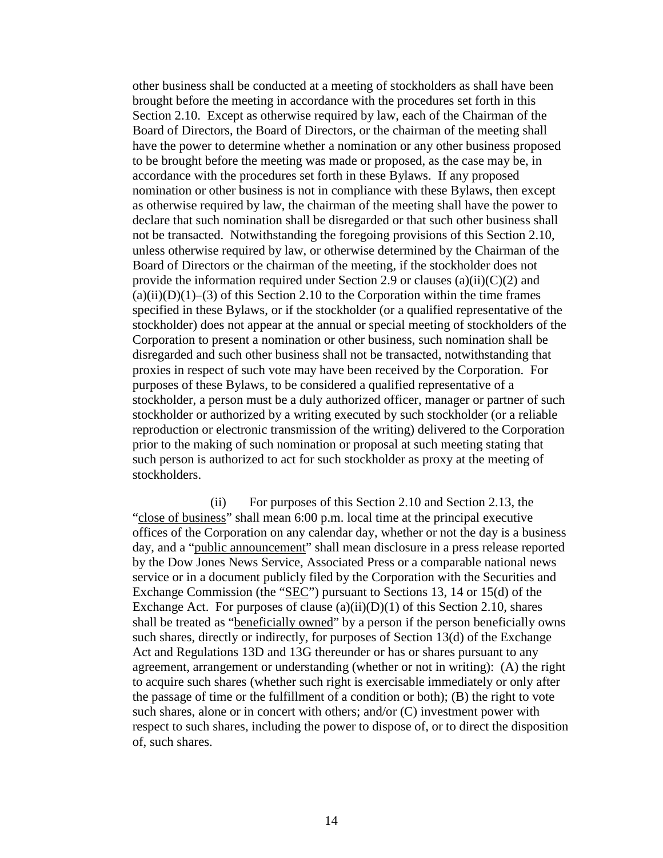other business shall be conducted at a meeting of stockholders as shall have been brought before the meeting in accordance with the procedures set forth in this Section 2.10. Except as otherwise required by law, each of the Chairman of the Board of Directors, the Board of Directors, or the chairman of the meeting shall have the power to determine whether a nomination or any other business proposed to be brought before the meeting was made or proposed, as the case may be, in accordance with the procedures set forth in these Bylaws. If any proposed nomination or other business is not in compliance with these Bylaws, then except as otherwise required by law, the chairman of the meeting shall have the power to declare that such nomination shall be disregarded or that such other business shall not be transacted. Notwithstanding the foregoing provisions of this Section 2.10, unless otherwise required by law, or otherwise determined by the Chairman of the Board of Directors or the chairman of the meeting, if the stockholder does not provide the information required under Section 2.9 or clauses (a)(ii)(C)(2) and  $(a)(ii)(D)(1)–(3)$  of this Section 2.10 to the Corporation within the time frames specified in these Bylaws, or if the stockholder (or a qualified representative of the stockholder) does not appear at the annual or special meeting of stockholders of the Corporation to present a nomination or other business, such nomination shall be disregarded and such other business shall not be transacted, notwithstanding that proxies in respect of such vote may have been received by the Corporation. For purposes of these Bylaws, to be considered a qualified representative of a stockholder, a person must be a duly authorized officer, manager or partner of such stockholder or authorized by a writing executed by such stockholder (or a reliable reproduction or electronic transmission of the writing) delivered to the Corporation prior to the making of such nomination or proposal at such meeting stating that such person is authorized to act for such stockholder as proxy at the meeting of stockholders.

(ii) For purposes of this Section 2.10 and Section 2.13, the "close of business" shall mean 6:00 p.m. local time at the principal executive offices of the Corporation on any calendar day, whether or not the day is a business day, and a "public announcement" shall mean disclosure in a press release reported by the Dow Jones News Service, Associated Press or a comparable national news service or in a document publicly filed by the Corporation with the Securities and Exchange Commission (the "SEC") pursuant to Sections 13, 14 or 15(d) of the Exchange Act. For purposes of clause  $(a)(ii)(D)(1)$  of this Section 2.10, shares shall be treated as "<u>beneficially owned</u>" by a person if the person beneficially owns such shares, directly or indirectly, for purposes of Section 13(d) of the Exchange Act and Regulations 13D and 13G thereunder or has or shares pursuant to any agreement, arrangement or understanding (whether or not in writing): (A) the right to acquire such shares (whether such right is exercisable immediately or only after the passage of time or the fulfillment of a condition or both); (B) the right to vote such shares, alone or in concert with others; and/or (C) investment power with respect to such shares, including the power to dispose of, or to direct the disposition of, such shares.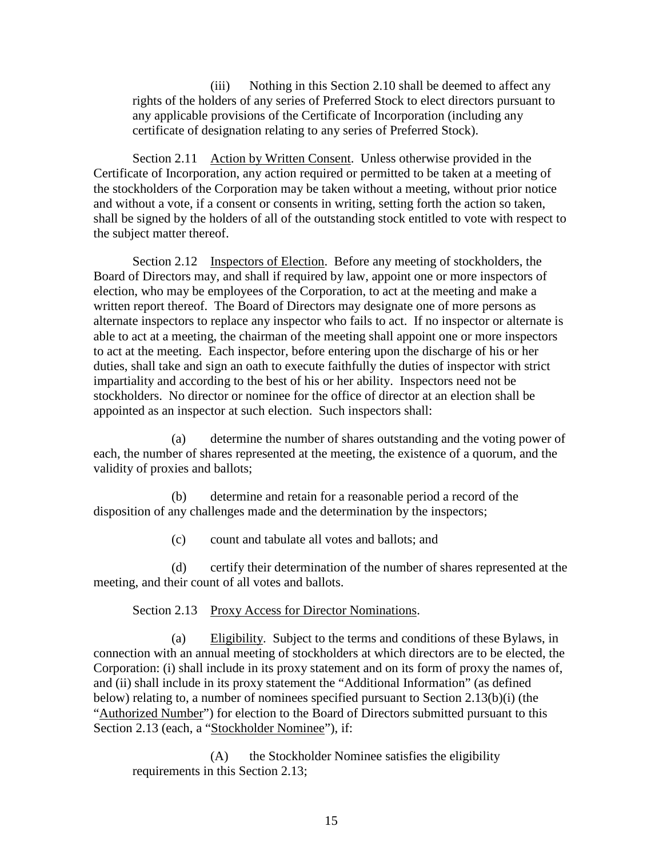(iii) Nothing in this Section 2.10 shall be deemed to affect any rights of the holders of any series of Preferred Stock to elect directors pursuant to any applicable provisions of the Certificate of Incorporation (including any certificate of designation relating to any series of Preferred Stock).

Section 2.11 Action by Written Consent. Unless otherwise provided in the Certificate of Incorporation, any action required or permitted to be taken at a meeting of the stockholders of the Corporation may be taken without a meeting, without prior notice and without a vote, if a consent or consents in writing, setting forth the action so taken, shall be signed by the holders of all of the outstanding stock entitled to vote with respect to the subject matter thereof.

Section 2.12 Inspectors of Election. Before any meeting of stockholders, the Board of Directors may, and shall if required by law, appoint one or more inspectors of election, who may be employees of the Corporation, to act at the meeting and make a written report thereof. The Board of Directors may designate one of more persons as alternate inspectors to replace any inspector who fails to act. If no inspector or alternate is able to act at a meeting, the chairman of the meeting shall appoint one or more inspectors to act at the meeting. Each inspector, before entering upon the discharge of his or her duties, shall take and sign an oath to execute faithfully the duties of inspector with strict impartiality and according to the best of his or her ability. Inspectors need not be stockholders. No director or nominee for the office of director at an election shall be appointed as an inspector at such election. Such inspectors shall:

(a) determine the number of shares outstanding and the voting power of each, the number of shares represented at the meeting, the existence of a quorum, and the validity of proxies and ballots;

(b) determine and retain for a reasonable period a record of the disposition of any challenges made and the determination by the inspectors;

(c) count and tabulate all votes and ballots; and

(d) certify their determination of the number of shares represented at the meeting, and their count of all votes and ballots.

Section 2.13 Proxy Access for Director Nominations.

(a) Eligibility. Subject to the terms and conditions of these Bylaws, in connection with an annual meeting of stockholders at which directors are to be elected, the Corporation: (i) shall include in its proxy statement and on its form of proxy the names of, and (ii) shall include in its proxy statement the "Additional Information" (as defined below) relating to, a number of nominees specified pursuant to Section 2.13(b)(i) (the "Authorized Number") for election to the Board of Directors submitted pursuant to this Section 2.13 (each, a "Stockholder Nominee"), if:

(A) the Stockholder Nominee satisfies the eligibility requirements in this Section 2.13;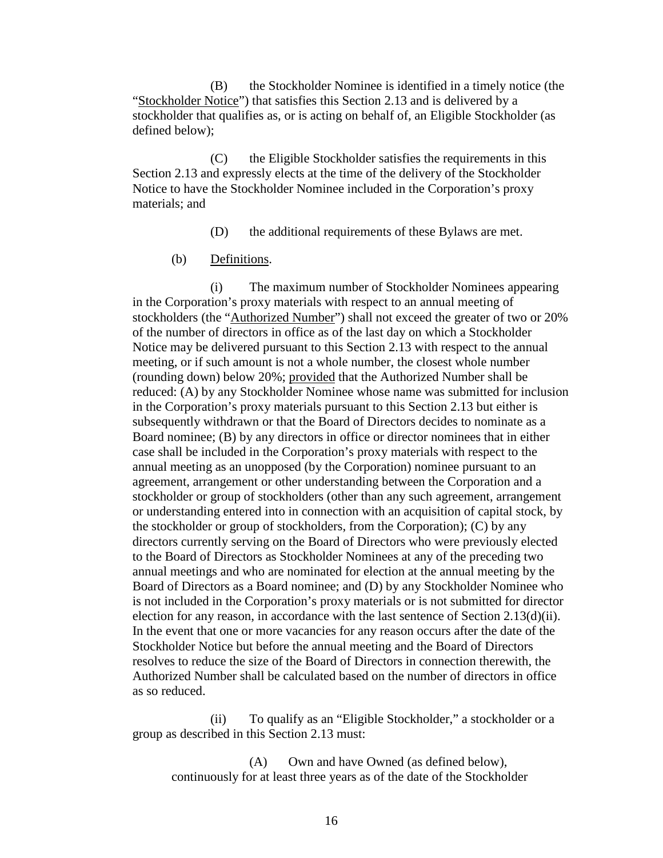(B) the Stockholder Nominee is identified in a timely notice (the "Stockholder Notice") that satisfies this Section 2.13 and is delivered by a stockholder that qualifies as, or is acting on behalf of, an Eligible Stockholder (as defined below);

(C) the Eligible Stockholder satisfies the requirements in this Section 2.13 and expressly elects at the time of the delivery of the Stockholder Notice to have the Stockholder Nominee included in the Corporation's proxy materials; and

(D) the additional requirements of these Bylaws are met.

(b) Definitions.

(i) The maximum number of Stockholder Nominees appearing in the Corporation's proxy materials with respect to an annual meeting of stockholders (the "Authorized Number") shall not exceed the greater of two or 20% of the number of directors in office as of the last day on which a Stockholder Notice may be delivered pursuant to this Section 2.13 with respect to the annual meeting, or if such amount is not a whole number, the closest whole number (rounding down) below 20%; provided that the Authorized Number shall be reduced: (A) by any Stockholder Nominee whose name was submitted for inclusion in the Corporation's proxy materials pursuant to this Section 2.13 but either is subsequently withdrawn or that the Board of Directors decides to nominate as a Board nominee; (B) by any directors in office or director nominees that in either case shall be included in the Corporation's proxy materials with respect to the annual meeting as an unopposed (by the Corporation) nominee pursuant to an agreement, arrangement or other understanding between the Corporation and a stockholder or group of stockholders (other than any such agreement, arrangement or understanding entered into in connection with an acquisition of capital stock, by the stockholder or group of stockholders, from the Corporation); (C) by any directors currently serving on the Board of Directors who were previously elected to the Board of Directors as Stockholder Nominees at any of the preceding two annual meetings and who are nominated for election at the annual meeting by the Board of Directors as a Board nominee; and (D) by any Stockholder Nominee who is not included in the Corporation's proxy materials or is not submitted for director election for any reason, in accordance with the last sentence of Section 2.13(d)(ii). In the event that one or more vacancies for any reason occurs after the date of the Stockholder Notice but before the annual meeting and the Board of Directors resolves to reduce the size of the Board of Directors in connection therewith, the Authorized Number shall be calculated based on the number of directors in office as so reduced.

(ii) To qualify as an "Eligible Stockholder," a stockholder or a group as described in this Section 2.13 must:

(A) Own and have Owned (as defined below), continuously for at least three years as of the date of the Stockholder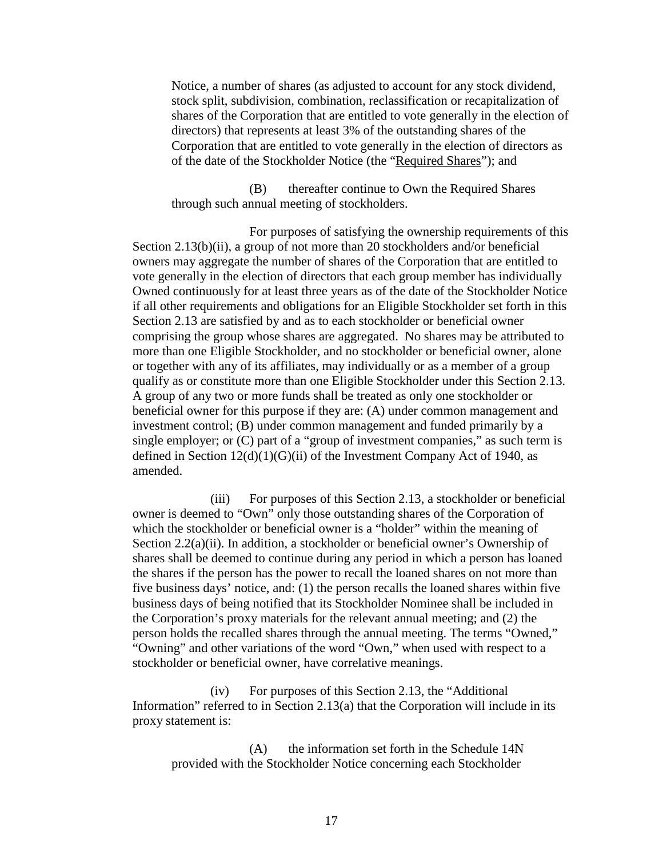Notice, a number of shares (as adjusted to account for any stock dividend, stock split, subdivision, combination, reclassification or recapitalization of shares of the Corporation that are entitled to vote generally in the election of directors) that represents at least 3% of the outstanding shares of the Corporation that are entitled to vote generally in the election of directors as of the date of the Stockholder Notice (the "Required Shares"); and

(B) thereafter continue to Own the Required Shares through such annual meeting of stockholders.

For purposes of satisfying the ownership requirements of this Section 2.13(b)(ii), a group of not more than 20 stockholders and/or beneficial owners may aggregate the number of shares of the Corporation that are entitled to vote generally in the election of directors that each group member has individually Owned continuously for at least three years as of the date of the Stockholder Notice if all other requirements and obligations for an Eligible Stockholder set forth in this Section 2.13 are satisfied by and as to each stockholder or beneficial owner comprising the group whose shares are aggregated. No shares may be attributed to more than one Eligible Stockholder, and no stockholder or beneficial owner, alone or together with any of its affiliates, may individually or as a member of a group qualify as or constitute more than one Eligible Stockholder under this Section 2.13. A group of any two or more funds shall be treated as only one stockholder or beneficial owner for this purpose if they are: (A) under common management and investment control; (B) under common management and funded primarily by a single employer; or (C) part of a "group of investment companies," as such term is defined in Section  $12(d)(1)(G)(ii)$  of the Investment Company Act of 1940, as amended.

(iii) For purposes of this Section 2.13, a stockholder or beneficial owner is deemed to "Own" only those outstanding shares of the Corporation of which the stockholder or beneficial owner is a "holder" within the meaning of Section 2.2(a)(ii). In addition, a stockholder or beneficial owner's Ownership of shares shall be deemed to continue during any period in which a person has loaned the shares if the person has the power to recall the loaned shares on not more than five business days' notice, and: (1) the person recalls the loaned shares within five business days of being notified that its Stockholder Nominee shall be included in the Corporation's proxy materials for the relevant annual meeting; and (2) the person holds the recalled shares through the annual meeting. The terms "Owned," "Owning" and other variations of the word "Own," when used with respect to a stockholder or beneficial owner, have correlative meanings.

(iv) For purposes of this Section 2.13, the "Additional Information" referred to in Section 2.13(a) that the Corporation will include in its proxy statement is:

 $(A)$  the information set forth in the Schedule 14N provided with the Stockholder Notice concerning each Stockholder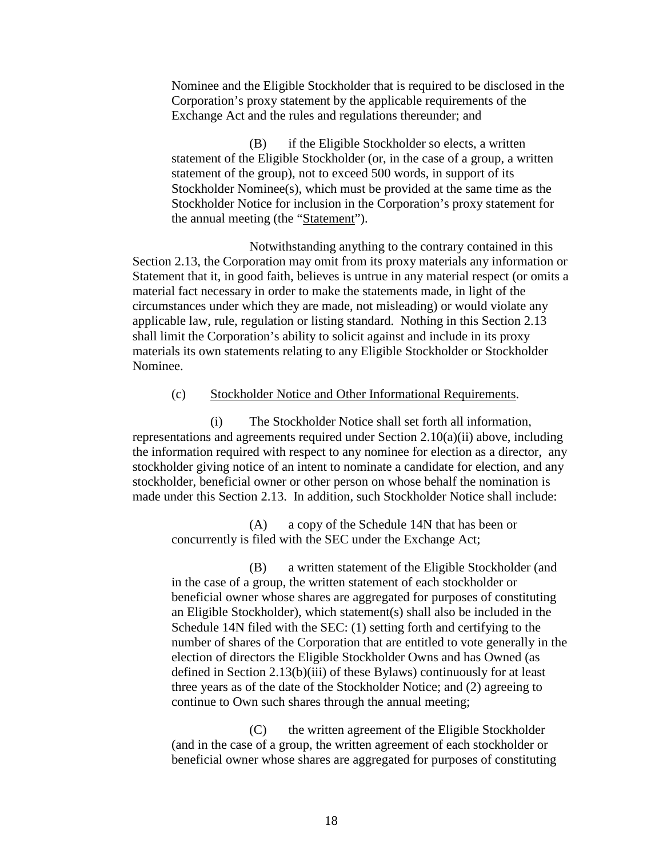Nominee and the Eligible Stockholder that is required to be disclosed in the Corporation's proxy statement by the applicable requirements of the Exchange Act and the rules and regulations thereunder; and

(B) if the Eligible Stockholder so elects, a written statement of the Eligible Stockholder (or, in the case of a group, a written statement of the group), not to exceed 500 words, in support of its Stockholder Nominee(s), which must be provided at the same time as the Stockholder Notice for inclusion in the Corporation's proxy statement for the annual meeting (the "Statement").

Notwithstanding anything to the contrary contained in this Section 2.13, the Corporation may omit from its proxy materials any information or Statement that it, in good faith, believes is untrue in any material respect (or omits a material fact necessary in order to make the statements made, in light of the circumstances under which they are made, not misleading) or would violate any applicable law, rule, regulation or listing standard. Nothing in this Section 2.13 shall limit the Corporation's ability to solicit against and include in its proxy materials its own statements relating to any Eligible Stockholder or Stockholder Nominee.

#### (c) Stockholder Notice and Other Informational Requirements.

(i) The Stockholder Notice shall set forth all information, representations and agreements required under Section 2.10(a)(ii) above, including the information required with respect to any nominee for election as a director, any stockholder giving notice of an intent to nominate a candidate for election, and any stockholder, beneficial owner or other person on whose behalf the nomination is made under this Section 2.13. In addition, such Stockholder Notice shall include:

(A) a copy of the Schedule 14N that has been or concurrently is filed with the SEC under the Exchange Act;

(B) a written statement of the Eligible Stockholder (and in the case of a group, the written statement of each stockholder or beneficial owner whose shares are aggregated for purposes of constituting an Eligible Stockholder), which statement(s) shall also be included in the Schedule 14N filed with the SEC: (1) setting forth and certifying to the number of shares of the Corporation that are entitled to vote generally in the election of directors the Eligible Stockholder Owns and has Owned (as defined in Section 2.13(b)(iii) of these Bylaws) continuously for at least three years as of the date of the Stockholder Notice; and (2) agreeing to continue to Own such shares through the annual meeting;

(C) the written agreement of the Eligible Stockholder (and in the case of a group, the written agreement of each stockholder or beneficial owner whose shares are aggregated for purposes of constituting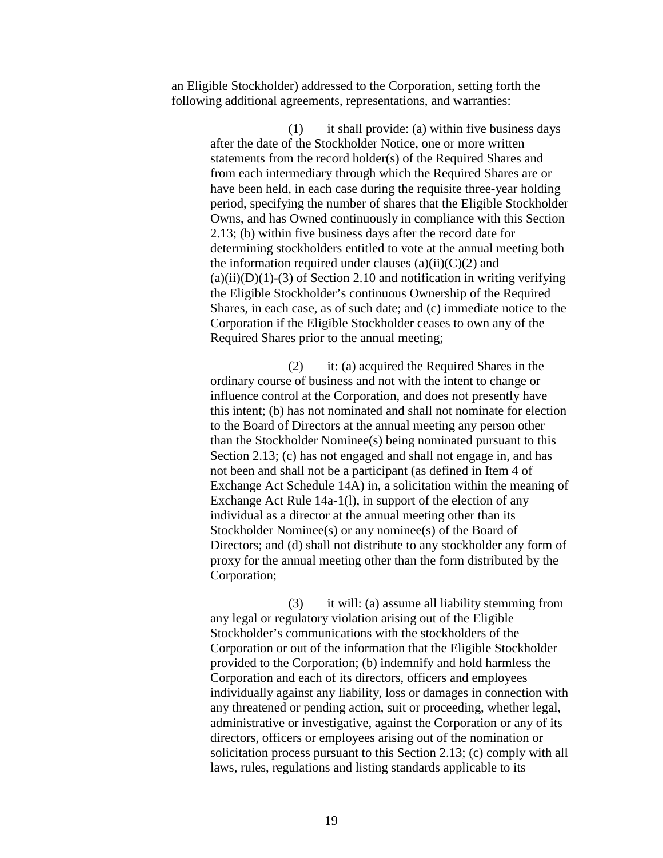an Eligible Stockholder) addressed to the Corporation, setting forth the following additional agreements, representations, and warranties:

> (1) it shall provide: (a) within five business days after the date of the Stockholder Notice, one or more written statements from the record holder(s) of the Required Shares and from each intermediary through which the Required Shares are or have been held, in each case during the requisite three-year holding period, specifying the number of shares that the Eligible Stockholder Owns, and has Owned continuously in compliance with this Section 2.13; (b) within five business days after the record date for determining stockholders entitled to vote at the annual meeting both the information required under clauses  $(a)(ii)(C)(2)$  and  $(a)(ii)(D)(1)-(3)$  of Section 2.10 and notification in writing verifying the Eligible Stockholder's continuous Ownership of the Required Shares, in each case, as of such date; and (c) immediate notice to the Corporation if the Eligible Stockholder ceases to own any of the Required Shares prior to the annual meeting;

> (2) it: (a) acquired the Required Shares in the ordinary course of business and not with the intent to change or influence control at the Corporation, and does not presently have this intent; (b) has not nominated and shall not nominate for election to the Board of Directors at the annual meeting any person other than the Stockholder Nominee(s) being nominated pursuant to this Section 2.13; (c) has not engaged and shall not engage in, and has not been and shall not be a participant (as defined in Item 4 of Exchange Act Schedule 14A) in, a solicitation within the meaning of Exchange Act Rule 14a-1(l), in support of the election of any individual as a director at the annual meeting other than its Stockholder Nominee(s) or any nominee(s) of the Board of Directors; and (d) shall not distribute to any stockholder any form of proxy for the annual meeting other than the form distributed by the Corporation;

> (3) it will: (a) assume all liability stemming from any legal or regulatory violation arising out of the Eligible Stockholder's communications with the stockholders of the Corporation or out of the information that the Eligible Stockholder provided to the Corporation; (b) indemnify and hold harmless the Corporation and each of its directors, officers and employees individually against any liability, loss or damages in connection with any threatened or pending action, suit or proceeding, whether legal, administrative or investigative, against the Corporation or any of its directors, officers or employees arising out of the nomination or solicitation process pursuant to this Section 2.13; (c) comply with all laws, rules, regulations and listing standards applicable to its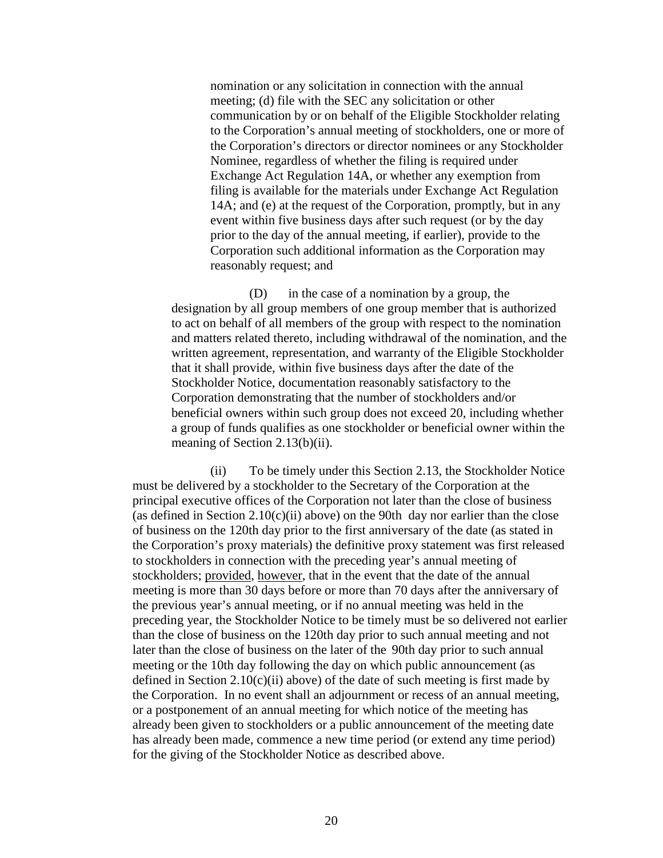nomination or any solicitation in connection with the annual meeting; (d) file with the SEC any solicitation or other communication by or on behalf of the Eligible Stockholder relating to the Corporation's annual meeting of stockholders, one or more of the Corporation's directors or director nominees or any Stockholder Nominee, regardless of whether the filing is required under Exchange Act Regulation 14A, or whether any exemption from filing is available for the materials under Exchange Act Regulation 14A; and (e) at the request of the Corporation, promptly, but in any event within five business days after such request (or by the day prior to the day of the annual meeting, if earlier), provide to the Corporation such additional information as the Corporation may reasonably request; and

(D) in the case of a nomination by a group, the designation by all group members of one group member that is authorized to act on behalf of all members of the group with respect to the nomination and matters related thereto, including withdrawal of the nomination, and the written agreement, representation, and warranty of the Eligible Stockholder that it shall provide, within five business days after the date of the Stockholder Notice, documentation reasonably satisfactory to the Corporation demonstrating that the number of stockholders and/or beneficial owners within such group does not exceed 20, including whether a group of funds qualifies as one stockholder or beneficial owner within the meaning of Section 2.13(b)(ii).

(ii) To be timely under this Section 2.13, the Stockholder Notice must be delivered by a stockholder to the Secretary of the Corporation at the principal executive offices of the Corporation not later than the close of business (as defined in Section  $2.10(c)(ii)$  above) on the 90th day nor earlier than the close of business on the 120th day prior to the first anniversary of the date (as stated in the Corporation's proxy materials) the definitive proxy statement was first released to stockholders in connection with the preceding year's annual meeting of stockholders; provided, however, that in the event that the date of the annual meeting is more than 30 days before or more than 70 days after the anniversary of the previous year's annual meeting, or if no annual meeting was held in the preceding year, the Stockholder Notice to be timely must be so delivered not earlier than the close of business on the 120th day prior to such annual meeting and not later than the close of business on the later of the 90th day prior to such annual meeting or the 10th day following the day on which public announcement (as defined in Section 2.10(c)(ii) above) of the date of such meeting is first made by the Corporation. In no event shall an adjournment or recess of an annual meeting, or a postponement of an annual meeting for which notice of the meeting has already been given to stockholders or a public announcement of the meeting date has already been made, commence a new time period (or extend any time period) for the giving of the Stockholder Notice as described above.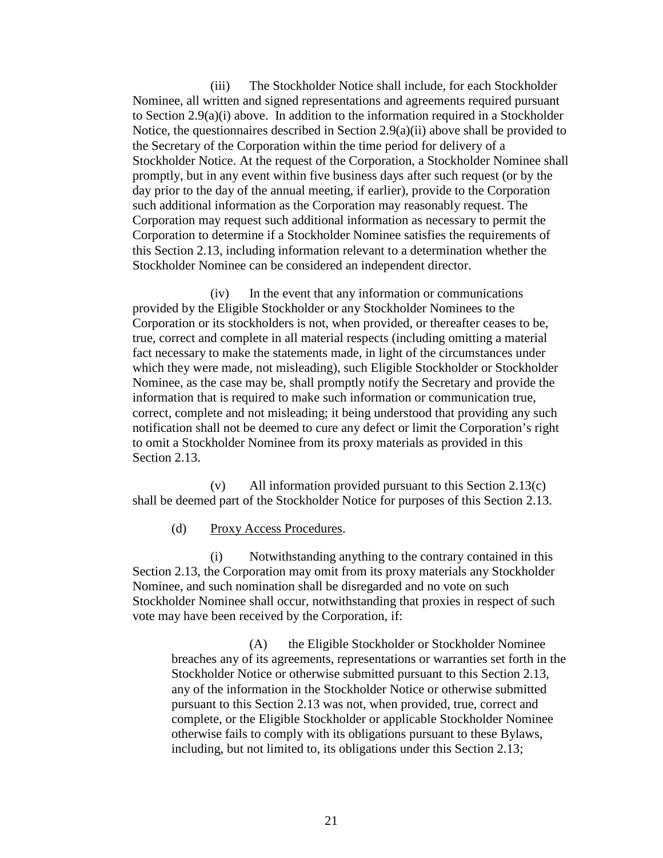(iii) The Stockholder Notice shall include, for each Stockholder Nominee, all written and signed representations and agreements required pursuant to Section 2.9(a)(i) above. In addition to the information required in a Stockholder Notice, the questionnaires described in Section 2.9(a)(ii) above shall be provided to the Secretary of the Corporation within the time period for delivery of a Stockholder Notice. At the request of the Corporation, a Stockholder Nominee shall promptly, but in any event within five business days after such request (or by the day prior to the day of the annual meeting, if earlier), provide to the Corporation such additional information as the Corporation may reasonably request. The Corporation may request such additional information as necessary to permit the Corporation to determine if a Stockholder Nominee satisfies the requirements of this Section 2.13, including information relevant to a determination whether the Stockholder Nominee can be considered an independent director.

(iv) In the event that any information or communications provided by the Eligible Stockholder or any Stockholder Nominees to the Corporation or its stockholders is not, when provided, or thereafter ceases to be, true, correct and complete in all material respects (including omitting a material fact necessary to make the statements made, in light of the circumstances under which they were made, not misleading), such Eligible Stockholder or Stockholder Nominee, as the case may be, shall promptly notify the Secretary and provide the information that is required to make such information or communication true, correct, complete and not misleading; it being understood that providing any such notification shall not be deemed to cure any defect or limit the Corporation's right to omit a Stockholder Nominee from its proxy materials as provided in this Section 2.13.

(v) All information provided pursuant to this Section 2.13(c) shall be deemed part of the Stockholder Notice for purposes of this Section 2.13.

(d) Proxy Access Procedures.

(i) Notwithstanding anything to the contrary contained in this Section 2.13, the Corporation may omit from its proxy materials any Stockholder Nominee, and such nomination shall be disregarded and no vote on such Stockholder Nominee shall occur, notwithstanding that proxies in respect of such vote may have been received by the Corporation, if:

(A) the Eligible Stockholder or Stockholder Nominee breaches any of its agreements, representations or warranties set forth in the Stockholder Notice or otherwise submitted pursuant to this Section 2.13, any of the information in the Stockholder Notice or otherwise submitted pursuant to this Section 2.13 was not, when provided, true, correct and complete, or the Eligible Stockholder or applicable Stockholder Nominee otherwise fails to comply with its obligations pursuant to these Bylaws, including, but not limited to, its obligations under this Section 2.13;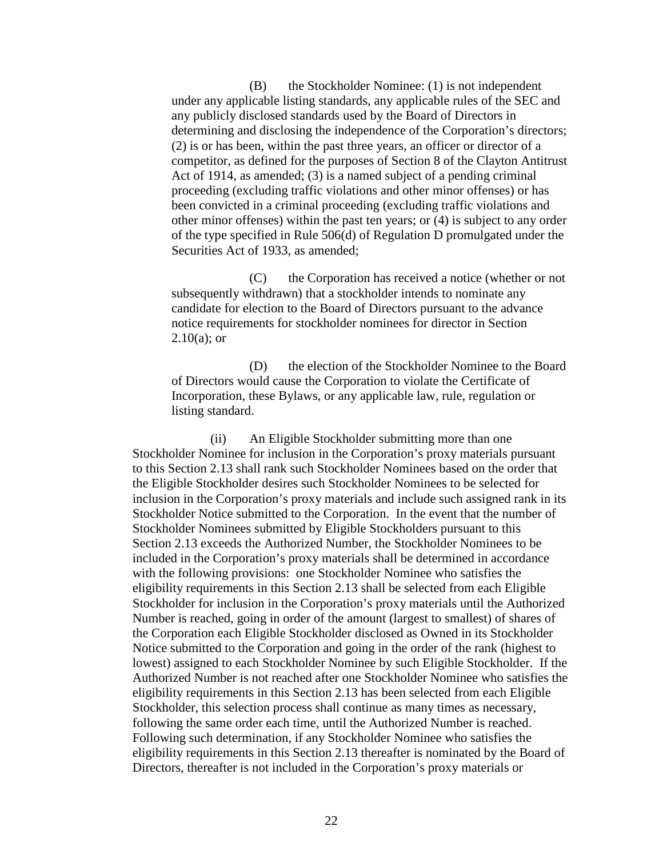(B) the Stockholder Nominee: (1) is not independent under any applicable listing standards, any applicable rules of the SEC and any publicly disclosed standards used by the Board of Directors in determining and disclosing the independence of the Corporation's directors; (2) is or has been, within the past three years, an officer or director of a competitor, as defined for the purposes of Section 8 of the Clayton Antitrust Act of 1914, as amended; (3) is a named subject of a pending criminal proceeding (excluding traffic violations and other minor offenses) or has been convicted in a criminal proceeding (excluding traffic violations and other minor offenses) within the past ten years; or (4) is subject to any order of the type specified in Rule 506(d) of Regulation D promulgated under the Securities Act of 1933, as amended;

(C) the Corporation has received a notice (whether or not subsequently withdrawn) that a stockholder intends to nominate any candidate for election to the Board of Directors pursuant to the advance notice requirements for stockholder nominees for director in Section  $2.10(a)$ ; or

(D) the election of the Stockholder Nominee to the Board of Directors would cause the Corporation to violate the Certificate of Incorporation, these Bylaws, or any applicable law, rule, regulation or listing standard.

(ii) An Eligible Stockholder submitting more than one Stockholder Nominee for inclusion in the Corporation's proxy materials pursuant to this Section 2.13 shall rank such Stockholder Nominees based on the order that the Eligible Stockholder desires such Stockholder Nominees to be selected for inclusion in the Corporation's proxy materials and include such assigned rank in its Stockholder Notice submitted to the Corporation. In the event that the number of Stockholder Nominees submitted by Eligible Stockholders pursuant to this Section 2.13 exceeds the Authorized Number, the Stockholder Nominees to be included in the Corporation's proxy materials shall be determined in accordance with the following provisions: one Stockholder Nominee who satisfies the eligibility requirements in this Section 2.13 shall be selected from each Eligible Stockholder for inclusion in the Corporation's proxy materials until the Authorized Number is reached, going in order of the amount (largest to smallest) of shares of the Corporation each Eligible Stockholder disclosed as Owned in its Stockholder Notice submitted to the Corporation and going in the order of the rank (highest to lowest) assigned to each Stockholder Nominee by such Eligible Stockholder. If the Authorized Number is not reached after one Stockholder Nominee who satisfies the eligibility requirements in this Section 2.13 has been selected from each Eligible Stockholder, this selection process shall continue as many times as necessary, following the same order each time, until the Authorized Number is reached. Following such determination, if any Stockholder Nominee who satisfies the eligibility requirements in this Section 2.13 thereafter is nominated by the Board of Directors, thereafter is not included in the Corporation's proxy materials or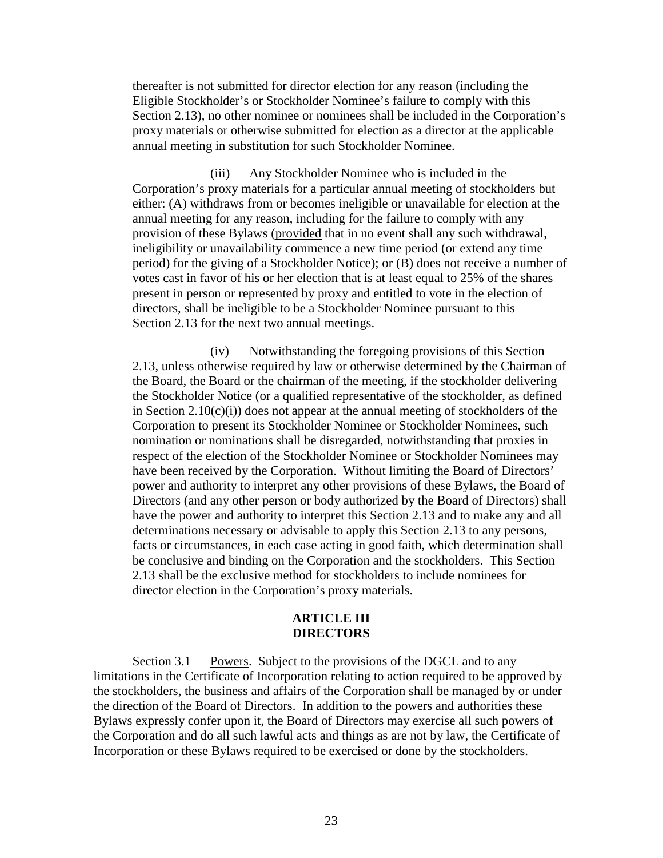thereafter is not submitted for director election for any reason (including the Eligible Stockholder's or Stockholder Nominee's failure to comply with this Section 2.13), no other nominee or nominees shall be included in the Corporation's proxy materials or otherwise submitted for election as a director at the applicable annual meeting in substitution for such Stockholder Nominee.

(iii) Any Stockholder Nominee who is included in the Corporation's proxy materials for a particular annual meeting of stockholders but either: (A) withdraws from or becomes ineligible or unavailable for election at the annual meeting for any reason, including for the failure to comply with any provision of these Bylaws (provided that in no event shall any such withdrawal, ineligibility or unavailability commence a new time period (or extend any time period) for the giving of a Stockholder Notice); or (B) does not receive a number of votes cast in favor of his or her election that is at least equal to 25% of the shares present in person or represented by proxy and entitled to vote in the election of directors, shall be ineligible to be a Stockholder Nominee pursuant to this Section 2.13 for the next two annual meetings.

(iv) Notwithstanding the foregoing provisions of this Section 2.13, unless otherwise required by law or otherwise determined by the Chairman of the Board, the Board or the chairman of the meeting, if the stockholder delivering the Stockholder Notice (or a qualified representative of the stockholder, as defined in Section  $2.10(c)(i)$  does not appear at the annual meeting of stockholders of the Corporation to present its Stockholder Nominee or Stockholder Nominees, such nomination or nominations shall be disregarded, notwithstanding that proxies in respect of the election of the Stockholder Nominee or Stockholder Nominees may have been received by the Corporation. Without limiting the Board of Directors' power and authority to interpret any other provisions of these Bylaws, the Board of Directors (and any other person or body authorized by the Board of Directors) shall have the power and authority to interpret this Section 2.13 and to make any and all determinations necessary or advisable to apply this Section 2.13 to any persons, facts or circumstances, in each case acting in good faith, which determination shall be conclusive and binding on the Corporation and the stockholders. This Section 2.13 shall be the exclusive method for stockholders to include nominees for director election in the Corporation's proxy materials.

## **ARTICLE III DIRECTORS**

Section 3.1 Powers. Subject to the provisions of the DGCL and to any limitations in the Certificate of Incorporation relating to action required to be approved by the stockholders, the business and affairs of the Corporation shall be managed by or under the direction of the Board of Directors. In addition to the powers and authorities these Bylaws expressly confer upon it, the Board of Directors may exercise all such powers of the Corporation and do all such lawful acts and things as are not by law, the Certificate of Incorporation or these Bylaws required to be exercised or done by the stockholders.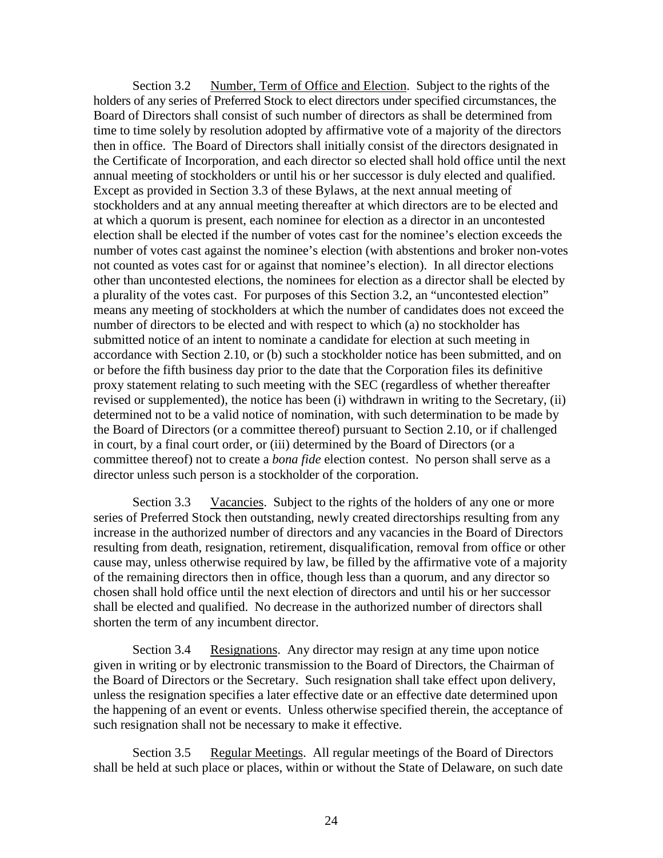Section 3.2 Number, Term of Office and Election. Subject to the rights of the holders of any series of Preferred Stock to elect directors under specified circumstances, the Board of Directors shall consist of such number of directors as shall be determined from time to time solely by resolution adopted by affirmative vote of a majority of the directors then in office. The Board of Directors shall initially consist of the directors designated in the Certificate of Incorporation, and each director so elected shall hold office until the next annual meeting of stockholders or until his or her successor is duly elected and qualified. Except as provided in Section 3.3 of these Bylaws, at the next annual meeting of stockholders and at any annual meeting thereafter at which directors are to be elected and at which a quorum is present, each nominee for election as a director in an uncontested election shall be elected if the number of votes cast for the nominee's election exceeds the number of votes cast against the nominee's election (with abstentions and broker non-votes not counted as votes cast for or against that nominee's election). In all director elections other than uncontested elections, the nominees for election as a director shall be elected by a plurality of the votes cast. For purposes of this Section 3.2, an "uncontested election" means any meeting of stockholders at which the number of candidates does not exceed the number of directors to be elected and with respect to which (a) no stockholder has submitted notice of an intent to nominate a candidate for election at such meeting in accordance with Section 2.10, or (b) such a stockholder notice has been submitted, and on or before the fifth business day prior to the date that the Corporation files its definitive proxy statement relating to such meeting with the SEC (regardless of whether thereafter revised or supplemented), the notice has been (i) withdrawn in writing to the Secretary, (ii) determined not to be a valid notice of nomination, with such determination to be made by the Board of Directors (or a committee thereof) pursuant to Section 2.10, or if challenged in court, by a final court order, or (iii) determined by the Board of Directors (or a committee thereof) not to create a *bona fide* election contest. No person shall serve as a director unless such person is a stockholder of the corporation.

Section 3.3 Vacancies. Subject to the rights of the holders of any one or more series of Preferred Stock then outstanding, newly created directorships resulting from any increase in the authorized number of directors and any vacancies in the Board of Directors resulting from death, resignation, retirement, disqualification, removal from office or other cause may, unless otherwise required by law, be filled by the affirmative vote of a majority of the remaining directors then in office, though less than a quorum, and any director so chosen shall hold office until the next election of directors and until his or her successor shall be elected and qualified. No decrease in the authorized number of directors shall shorten the term of any incumbent director.

Section 3.4 Resignations. Any director may resign at any time upon notice given in writing or by electronic transmission to the Board of Directors, the Chairman of the Board of Directors or the Secretary. Such resignation shall take effect upon delivery, unless the resignation specifies a later effective date or an effective date determined upon the happening of an event or events. Unless otherwise specified therein, the acceptance of such resignation shall not be necessary to make it effective.

Section 3.5 Regular Meetings. All regular meetings of the Board of Directors shall be held at such place or places, within or without the State of Delaware, on such date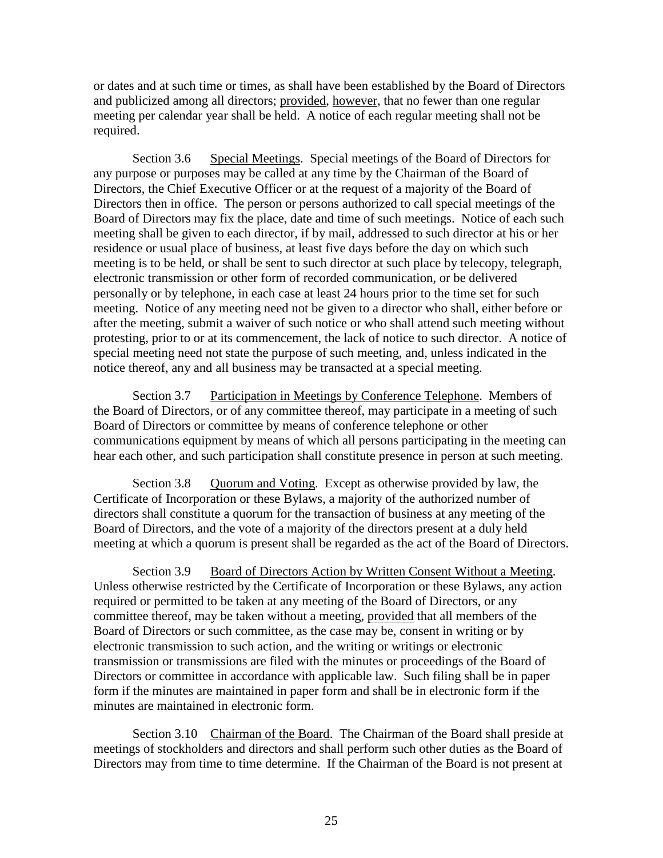or dates and at such time or times, as shall have been established by the Board of Directors and publicized among all directors; provided, however, that no fewer than one regular meeting per calendar year shall be held. A notice of each regular meeting shall not be required.

Section 3.6 Special Meetings. Special meetings of the Board of Directors for any purpose or purposes may be called at any time by the Chairman of the Board of Directors, the Chief Executive Officer or at the request of a majority of the Board of Directors then in office. The person or persons authorized to call special meetings of the Board of Directors may fix the place, date and time of such meetings. Notice of each such meeting shall be given to each director, if by mail, addressed to such director at his or her residence or usual place of business, at least five days before the day on which such meeting is to be held, or shall be sent to such director at such place by telecopy, telegraph, electronic transmission or other form of recorded communication, or be delivered personally or by telephone, in each case at least 24 hours prior to the time set for such meeting. Notice of any meeting need not be given to a director who shall, either before or after the meeting, submit a waiver of such notice or who shall attend such meeting without protesting, prior to or at its commencement, the lack of notice to such director. A notice of special meeting need not state the purpose of such meeting, and, unless indicated in the notice thereof, any and all business may be transacted at a special meeting.

Section 3.7 Participation in Meetings by Conference Telephone. Members of the Board of Directors, or of any committee thereof, may participate in a meeting of such Board of Directors or committee by means of conference telephone or other communications equipment by means of which all persons participating in the meeting can hear each other, and such participation shall constitute presence in person at such meeting.

Section 3.8 Quorum and Voting. Except as otherwise provided by law, the Certificate of Incorporation or these Bylaws, a majority of the authorized number of directors shall constitute a quorum for the transaction of business at any meeting of the Board of Directors, and the vote of a majority of the directors present at a duly held meeting at which a quorum is present shall be regarded as the act of the Board of Directors.

Section 3.9 Board of Directors Action by Written Consent Without a Meeting. Unless otherwise restricted by the Certificate of Incorporation or these Bylaws, any action required or permitted to be taken at any meeting of the Board of Directors, or any committee thereof, may be taken without a meeting, provided that all members of the Board of Directors or such committee, as the case may be, consent in writing or by electronic transmission to such action, and the writing or writings or electronic transmission or transmissions are filed with the minutes or proceedings of the Board of Directors or committee in accordance with applicable law. Such filing shall be in paper form if the minutes are maintained in paper form and shall be in electronic form if the minutes are maintained in electronic form.

Section 3.10 Chairman of the Board. The Chairman of the Board shall preside at meetings of stockholders and directors and shall perform such other duties as the Board of Directors may from time to time determine. If the Chairman of the Board is not present at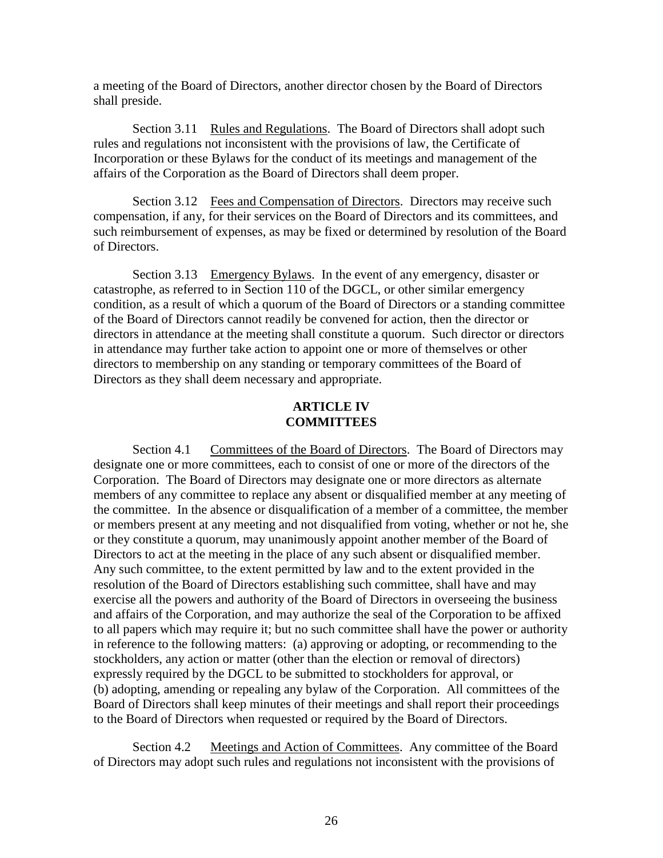a meeting of the Board of Directors, another director chosen by the Board of Directors shall preside.

Section 3.11 Rules and Regulations. The Board of Directors shall adopt such rules and regulations not inconsistent with the provisions of law, the Certificate of Incorporation or these Bylaws for the conduct of its meetings and management of the affairs of the Corporation as the Board of Directors shall deem proper.

Section 3.12 Fees and Compensation of Directors. Directors may receive such compensation, if any, for their services on the Board of Directors and its committees, and such reimbursement of expenses, as may be fixed or determined by resolution of the Board of Directors.

Section 3.13 Emergency Bylaws. In the event of any emergency, disaster or catastrophe, as referred to in Section 110 of the DGCL, or other similar emergency condition, as a result of which a quorum of the Board of Directors or a standing committee of the Board of Directors cannot readily be convened for action, then the director or directors in attendance at the meeting shall constitute a quorum. Such director or directors in attendance may further take action to appoint one or more of themselves or other directors to membership on any standing or temporary committees of the Board of Directors as they shall deem necessary and appropriate.

## **ARTICLE IV COMMITTEES**

Section 4.1 Committees of the Board of Directors. The Board of Directors may designate one or more committees, each to consist of one or more of the directors of the Corporation. The Board of Directors may designate one or more directors as alternate members of any committee to replace any absent or disqualified member at any meeting of the committee. In the absence or disqualification of a member of a committee, the member or members present at any meeting and not disqualified from voting, whether or not he, she or they constitute a quorum, may unanimously appoint another member of the Board of Directors to act at the meeting in the place of any such absent or disqualified member. Any such committee, to the extent permitted by law and to the extent provided in the resolution of the Board of Directors establishing such committee, shall have and may exercise all the powers and authority of the Board of Directors in overseeing the business and affairs of the Corporation, and may authorize the seal of the Corporation to be affixed to all papers which may require it; but no such committee shall have the power or authority in reference to the following matters: (a) approving or adopting, or recommending to the stockholders, any action or matter (other than the election or removal of directors) expressly required by the DGCL to be submitted to stockholders for approval, or (b) adopting, amending or repealing any bylaw of the Corporation. All committees of the Board of Directors shall keep minutes of their meetings and shall report their proceedings to the Board of Directors when requested or required by the Board of Directors.

Section 4.2 Meetings and Action of Committees. Any committee of the Board of Directors may adopt such rules and regulations not inconsistent with the provisions of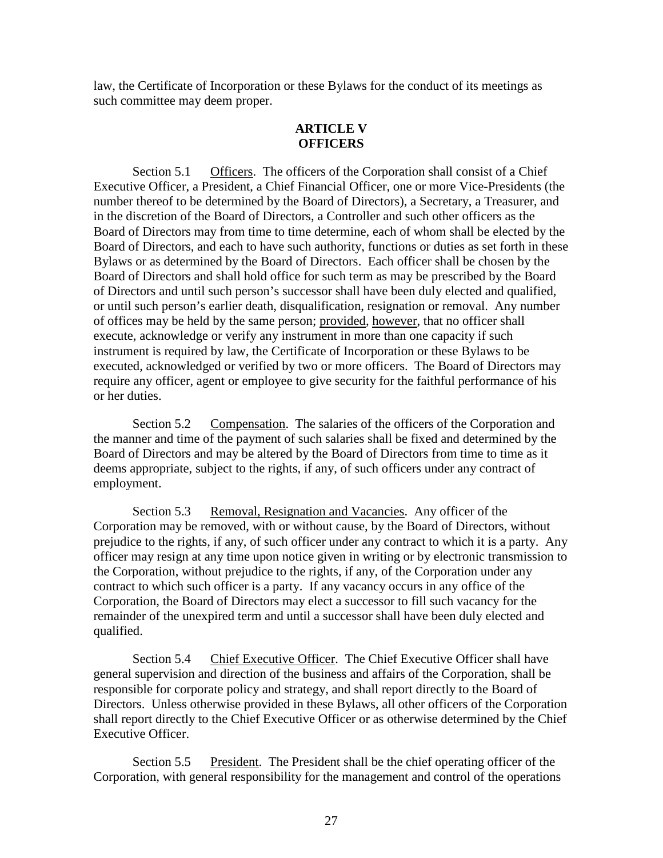law, the Certificate of Incorporation or these Bylaws for the conduct of its meetings as such committee may deem proper.

# **ARTICLE V OFFICERS**

Section 5.1 Officers. The officers of the Corporation shall consist of a Chief Executive Officer, a President, a Chief Financial Officer, one or more Vice-Presidents (the number thereof to be determined by the Board of Directors), a Secretary, a Treasurer, and in the discretion of the Board of Directors, a Controller and such other officers as the Board of Directors may from time to time determine, each of whom shall be elected by the Board of Directors, and each to have such authority, functions or duties as set forth in these Bylaws or as determined by the Board of Directors. Each officer shall be chosen by the Board of Directors and shall hold office for such term as may be prescribed by the Board of Directors and until such person's successor shall have been duly elected and qualified, or until such person's earlier death, disqualification, resignation or removal. Any number of offices may be held by the same person; provided, however, that no officer shall execute, acknowledge or verify any instrument in more than one capacity if such instrument is required by law, the Certificate of Incorporation or these Bylaws to be executed, acknowledged or verified by two or more officers. The Board of Directors may require any officer, agent or employee to give security for the faithful performance of his or her duties.

Section 5.2 Compensation. The salaries of the officers of the Corporation and the manner and time of the payment of such salaries shall be fixed and determined by the Board of Directors and may be altered by the Board of Directors from time to time as it deems appropriate, subject to the rights, if any, of such officers under any contract of employment.

Section 5.3 Removal, Resignation and Vacancies. Any officer of the Corporation may be removed, with or without cause, by the Board of Directors, without prejudice to the rights, if any, of such officer under any contract to which it is a party. Any officer may resign at any time upon notice given in writing or by electronic transmission to the Corporation, without prejudice to the rights, if any, of the Corporation under any contract to which such officer is a party. If any vacancy occurs in any office of the Corporation, the Board of Directors may elect a successor to fill such vacancy for the remainder of the unexpired term and until a successor shall have been duly elected and qualified.

Section 5.4 Chief Executive Officer. The Chief Executive Officer shall have general supervision and direction of the business and affairs of the Corporation, shall be responsible for corporate policy and strategy, and shall report directly to the Board of Directors. Unless otherwise provided in these Bylaws, all other officers of the Corporation shall report directly to the Chief Executive Officer or as otherwise determined by the Chief Executive Officer.

Section 5.5 President. The President shall be the chief operating officer of the Corporation, with general responsibility for the management and control of the operations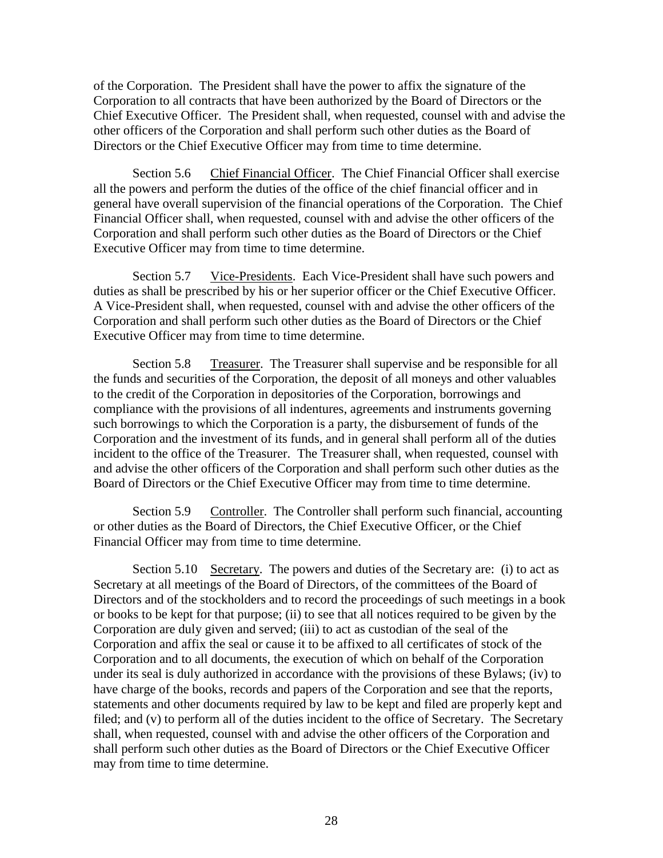of the Corporation. The President shall have the power to affix the signature of the Corporation to all contracts that have been authorized by the Board of Directors or the Chief Executive Officer. The President shall, when requested, counsel with and advise the other officers of the Corporation and shall perform such other duties as the Board of Directors or the Chief Executive Officer may from time to time determine.

Section 5.6 Chief Financial Officer. The Chief Financial Officer shall exercise all the powers and perform the duties of the office of the chief financial officer and in general have overall supervision of the financial operations of the Corporation. The Chief Financial Officer shall, when requested, counsel with and advise the other officers of the Corporation and shall perform such other duties as the Board of Directors or the Chief Executive Officer may from time to time determine.

Section 5.7 Vice-Presidents. Each Vice-President shall have such powers and duties as shall be prescribed by his or her superior officer or the Chief Executive Officer. A Vice-President shall, when requested, counsel with and advise the other officers of the Corporation and shall perform such other duties as the Board of Directors or the Chief Executive Officer may from time to time determine.

Section 5.8 Treasurer. The Treasurer shall supervise and be responsible for all the funds and securities of the Corporation, the deposit of all moneys and other valuables to the credit of the Corporation in depositories of the Corporation, borrowings and compliance with the provisions of all indentures, agreements and instruments governing such borrowings to which the Corporation is a party, the disbursement of funds of the Corporation and the investment of its funds, and in general shall perform all of the duties incident to the office of the Treasurer. The Treasurer shall, when requested, counsel with and advise the other officers of the Corporation and shall perform such other duties as the Board of Directors or the Chief Executive Officer may from time to time determine.

Section 5.9 Controller. The Controller shall perform such financial, accounting or other duties as the Board of Directors, the Chief Executive Officer, or the Chief Financial Officer may from time to time determine.

Section 5.10 Secretary. The powers and duties of the Secretary are: (i) to act as Secretary at all meetings of the Board of Directors, of the committees of the Board of Directors and of the stockholders and to record the proceedings of such meetings in a book or books to be kept for that purpose; (ii) to see that all notices required to be given by the Corporation are duly given and served; (iii) to act as custodian of the seal of the Corporation and affix the seal or cause it to be affixed to all certificates of stock of the Corporation and to all documents, the execution of which on behalf of the Corporation under its seal is duly authorized in accordance with the provisions of these Bylaws; (iv) to have charge of the books, records and papers of the Corporation and see that the reports, statements and other documents required by law to be kept and filed are properly kept and filed; and (v) to perform all of the duties incident to the office of Secretary. The Secretary shall, when requested, counsel with and advise the other officers of the Corporation and shall perform such other duties as the Board of Directors or the Chief Executive Officer may from time to time determine.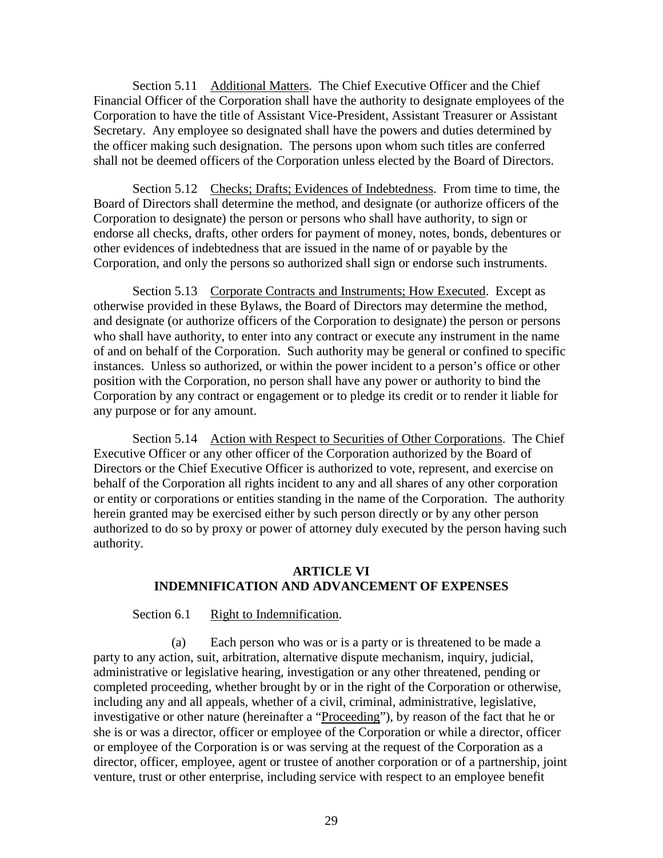Section 5.11 Additional Matters. The Chief Executive Officer and the Chief Financial Officer of the Corporation shall have the authority to designate employees of the Corporation to have the title of Assistant Vice-President, Assistant Treasurer or Assistant Secretary. Any employee so designated shall have the powers and duties determined by the officer making such designation. The persons upon whom such titles are conferred shall not be deemed officers of the Corporation unless elected by the Board of Directors.

Section 5.12 Checks; Drafts; Evidences of Indebtedness. From time to time, the Board of Directors shall determine the method, and designate (or authorize officers of the Corporation to designate) the person or persons who shall have authority, to sign or endorse all checks, drafts, other orders for payment of money, notes, bonds, debentures or other evidences of indebtedness that are issued in the name of or payable by the Corporation, and only the persons so authorized shall sign or endorse such instruments.

Section 5.13 Corporate Contracts and Instruments; How Executed. Except as otherwise provided in these Bylaws, the Board of Directors may determine the method, and designate (or authorize officers of the Corporation to designate) the person or persons who shall have authority, to enter into any contract or execute any instrument in the name of and on behalf of the Corporation. Such authority may be general or confined to specific instances. Unless so authorized, or within the power incident to a person's office or other position with the Corporation, no person shall have any power or authority to bind the Corporation by any contract or engagement or to pledge its credit or to render it liable for any purpose or for any amount.

Section 5.14 Action with Respect to Securities of Other Corporations. The Chief Executive Officer or any other officer of the Corporation authorized by the Board of Directors or the Chief Executive Officer is authorized to vote, represent, and exercise on behalf of the Corporation all rights incident to any and all shares of any other corporation or entity or corporations or entities standing in the name of the Corporation. The authority herein granted may be exercised either by such person directly or by any other person authorized to do so by proxy or power of attorney duly executed by the person having such authority.

# **ARTICLE VI INDEMNIFICATION AND ADVANCEMENT OF EXPENSES**

## Section 6.1 Right to Indemnification.

(a) Each person who was or is a party or is threatened to be made a party to any action, suit, arbitration, alternative dispute mechanism, inquiry, judicial, administrative or legislative hearing, investigation or any other threatened, pending or completed proceeding, whether brought by or in the right of the Corporation or otherwise, including any and all appeals, whether of a civil, criminal, administrative, legislative, investigative or other nature (hereinafter a "Proceeding"), by reason of the fact that he or she is or was a director, officer or employee of the Corporation or while a director, officer or employee of the Corporation is or was serving at the request of the Corporation as a director, officer, employee, agent or trustee of another corporation or of a partnership, joint venture, trust or other enterprise, including service with respect to an employee benefit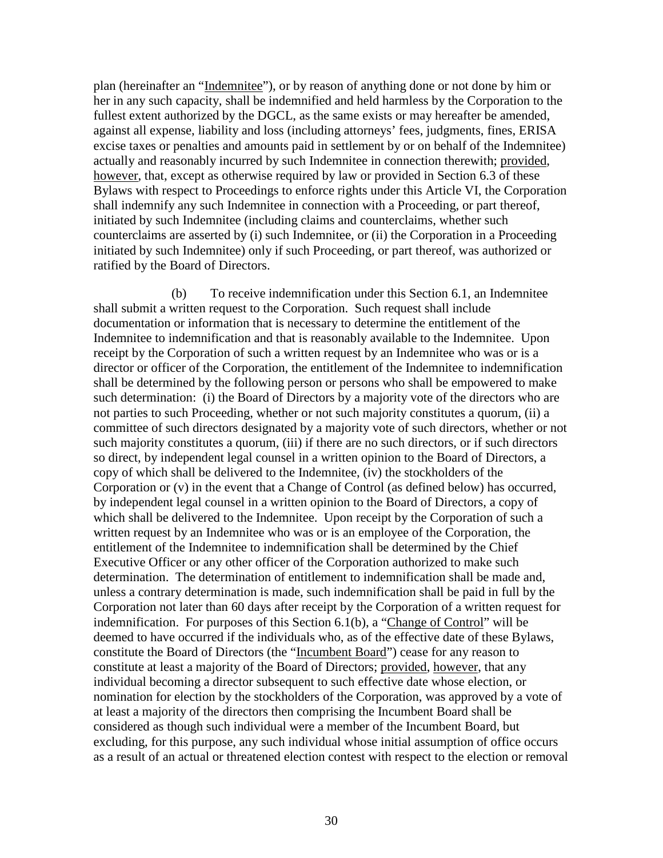plan (hereinafter an "Indemnitee"), or by reason of anything done or not done by him or her in any such capacity, shall be indemnified and held harmless by the Corporation to the fullest extent authorized by the DGCL, as the same exists or may hereafter be amended, against all expense, liability and loss (including attorneys' fees, judgments, fines, ERISA excise taxes or penalties and amounts paid in settlement by or on behalf of the Indemnitee) actually and reasonably incurred by such Indemnitee in connection therewith; provided, however, that, except as otherwise required by law or provided in Section 6.3 of these Bylaws with respect to Proceedings to enforce rights under this Article VI, the Corporation shall indemnify any such Indemnitee in connection with a Proceeding, or part thereof, initiated by such Indemnitee (including claims and counterclaims, whether such counterclaims are asserted by (i) such Indemnitee, or (ii) the Corporation in a Proceeding initiated by such Indemnitee) only if such Proceeding, or part thereof, was authorized or ratified by the Board of Directors.

(b) To receive indemnification under this Section 6.1, an Indemnitee shall submit a written request to the Corporation. Such request shall include documentation or information that is necessary to determine the entitlement of the Indemnitee to indemnification and that is reasonably available to the Indemnitee. Upon receipt by the Corporation of such a written request by an Indemnitee who was or is a director or officer of the Corporation, the entitlement of the Indemnitee to indemnification shall be determined by the following person or persons who shall be empowered to make such determination: (i) the Board of Directors by a majority vote of the directors who are not parties to such Proceeding, whether or not such majority constitutes a quorum, (ii) a committee of such directors designated by a majority vote of such directors, whether or not such majority constitutes a quorum, (iii) if there are no such directors, or if such directors so direct, by independent legal counsel in a written opinion to the Board of Directors, a copy of which shall be delivered to the Indemnitee, (iv) the stockholders of the Corporation or (v) in the event that a Change of Control (as defined below) has occurred, by independent legal counsel in a written opinion to the Board of Directors, a copy of which shall be delivered to the Indemnitee. Upon receipt by the Corporation of such a written request by an Indemnitee who was or is an employee of the Corporation, the entitlement of the Indemnitee to indemnification shall be determined by the Chief Executive Officer or any other officer of the Corporation authorized to make such determination. The determination of entitlement to indemnification shall be made and, unless a contrary determination is made, such indemnification shall be paid in full by the Corporation not later than 60 days after receipt by the Corporation of a written request for indemnification. For purposes of this Section 6.1(b), a "Change of Control" will be deemed to have occurred if the individuals who, as of the effective date of these Bylaws, constitute the Board of Directors (the "Incumbent Board") cease for any reason to constitute at least a majority of the Board of Directors; provided, however, that any individual becoming a director subsequent to such effective date whose election, or nomination for election by the stockholders of the Corporation, was approved by a vote of at least a majority of the directors then comprising the Incumbent Board shall be considered as though such individual were a member of the Incumbent Board, but excluding, for this purpose, any such individual whose initial assumption of office occurs as a result of an actual or threatened election contest with respect to the election or removal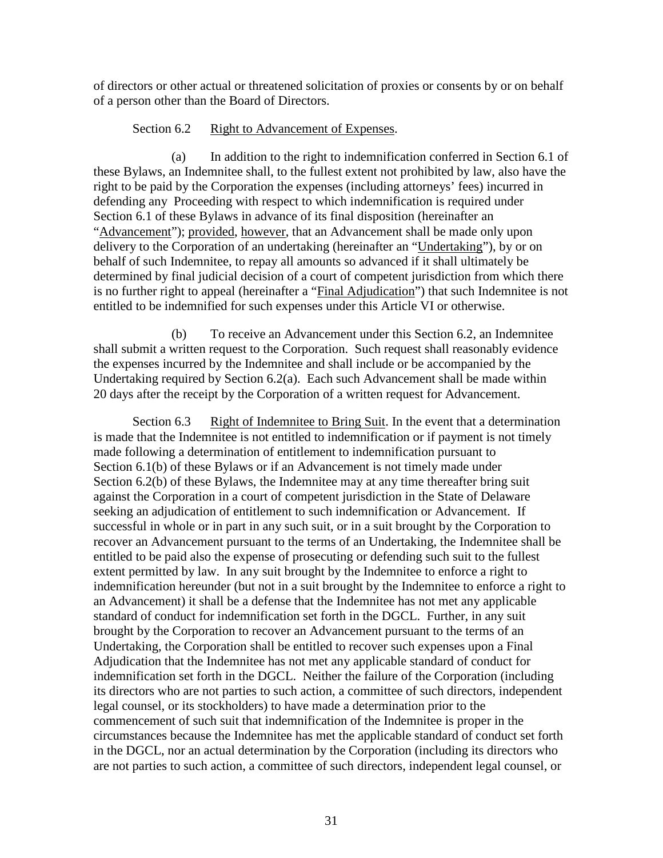of directors or other actual or threatened solicitation of proxies or consents by or on behalf of a person other than the Board of Directors.

# Section 6.2 Right to Advancement of Expenses.

(a) In addition to the right to indemnification conferred in Section 6.1 of these Bylaws, an Indemnitee shall, to the fullest extent not prohibited by law, also have the right to be paid by the Corporation the expenses (including attorneys' fees) incurred in defending any Proceeding with respect to which indemnification is required under Section 6.1 of these Bylaws in advance of its final disposition (hereinafter an "Advancement"); provided, however, that an Advancement shall be made only upon delivery to the Corporation of an undertaking (hereinafter an "Undertaking"), by or on behalf of such Indemnitee, to repay all amounts so advanced if it shall ultimately be determined by final judicial decision of a court of competent jurisdiction from which there is no further right to appeal (hereinafter a "Final Adjudication") that such Indemnitee is not entitled to be indemnified for such expenses under this Article VI or otherwise.

(b) To receive an Advancement under this Section 6.2, an Indemnitee shall submit a written request to the Corporation. Such request shall reasonably evidence the expenses incurred by the Indemnitee and shall include or be accompanied by the Undertaking required by Section 6.2(a). Each such Advancement shall be made within 20 days after the receipt by the Corporation of a written request for Advancement.

Section 6.3 Right of Indemnitee to Bring Suit. In the event that a determination is made that the Indemnitee is not entitled to indemnification or if payment is not timely made following a determination of entitlement to indemnification pursuant to Section 6.1(b) of these Bylaws or if an Advancement is not timely made under Section 6.2(b) of these Bylaws, the Indemnitee may at any time thereafter bring suit against the Corporation in a court of competent jurisdiction in the State of Delaware seeking an adjudication of entitlement to such indemnification or Advancement. If successful in whole or in part in any such suit, or in a suit brought by the Corporation to recover an Advancement pursuant to the terms of an Undertaking, the Indemnitee shall be entitled to be paid also the expense of prosecuting or defending such suit to the fullest extent permitted by law. In any suit brought by the Indemnitee to enforce a right to indemnification hereunder (but not in a suit brought by the Indemnitee to enforce a right to an Advancement) it shall be a defense that the Indemnitee has not met any applicable standard of conduct for indemnification set forth in the DGCL. Further, in any suit brought by the Corporation to recover an Advancement pursuant to the terms of an Undertaking, the Corporation shall be entitled to recover such expenses upon a Final Adjudication that the Indemnitee has not met any applicable standard of conduct for indemnification set forth in the DGCL. Neither the failure of the Corporation (including its directors who are not parties to such action, a committee of such directors, independent legal counsel, or its stockholders) to have made a determination prior to the commencement of such suit that indemnification of the Indemnitee is proper in the circumstances because the Indemnitee has met the applicable standard of conduct set forth in the DGCL, nor an actual determination by the Corporation (including its directors who are not parties to such action, a committee of such directors, independent legal counsel, or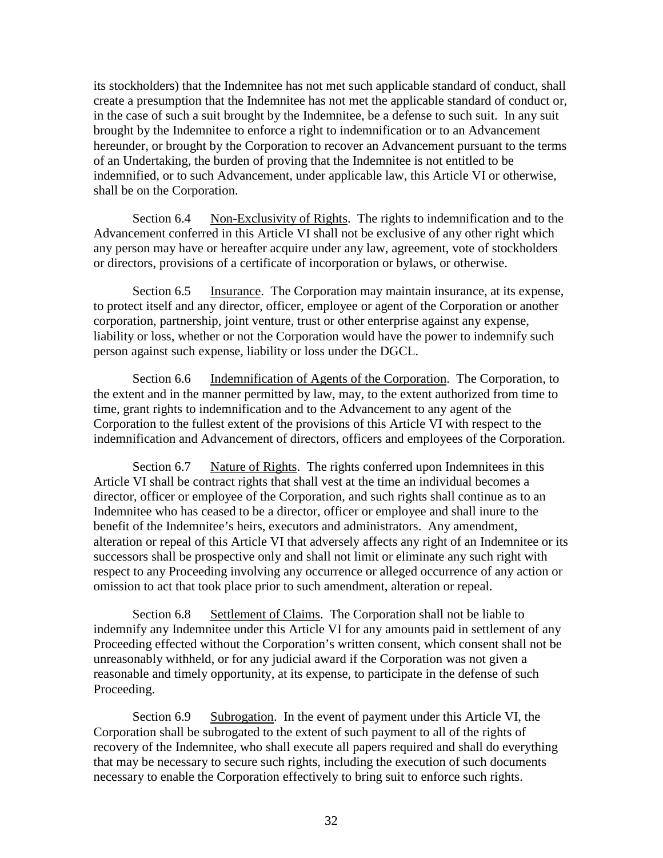its stockholders) that the Indemnitee has not met such applicable standard of conduct, shall create a presumption that the Indemnitee has not met the applicable standard of conduct or, in the case of such a suit brought by the Indemnitee, be a defense to such suit. In any suit brought by the Indemnitee to enforce a right to indemnification or to an Advancement hereunder, or brought by the Corporation to recover an Advancement pursuant to the terms of an Undertaking, the burden of proving that the Indemnitee is not entitled to be indemnified, or to such Advancement, under applicable law, this Article VI or otherwise, shall be on the Corporation.

Section 6.4 Non-Exclusivity of Rights. The rights to indemnification and to the Advancement conferred in this Article VI shall not be exclusive of any other right which any person may have or hereafter acquire under any law, agreement, vote of stockholders or directors, provisions of a certificate of incorporation or bylaws, or otherwise.

Section 6.5 Insurance. The Corporation may maintain insurance, at its expense, to protect itself and any director, officer, employee or agent of the Corporation or another corporation, partnership, joint venture, trust or other enterprise against any expense, liability or loss, whether or not the Corporation would have the power to indemnify such person against such expense, liability or loss under the DGCL.

Section 6.6 Indemnification of Agents of the Corporation. The Corporation, to the extent and in the manner permitted by law, may, to the extent authorized from time to time, grant rights to indemnification and to the Advancement to any agent of the Corporation to the fullest extent of the provisions of this Article VI with respect to the indemnification and Advancement of directors, officers and employees of the Corporation.

Section 6.7 Nature of Rights. The rights conferred upon Indemnitees in this Article VI shall be contract rights that shall vest at the time an individual becomes a director, officer or employee of the Corporation, and such rights shall continue as to an Indemnitee who has ceased to be a director, officer or employee and shall inure to the benefit of the Indemnitee's heirs, executors and administrators. Any amendment, alteration or repeal of this Article VI that adversely affects any right of an Indemnitee or its successors shall be prospective only and shall not limit or eliminate any such right with respect to any Proceeding involving any occurrence or alleged occurrence of any action or omission to act that took place prior to such amendment, alteration or repeal.

Section 6.8 Settlement of Claims. The Corporation shall not be liable to indemnify any Indemnitee under this Article VI for any amounts paid in settlement of any Proceeding effected without the Corporation's written consent, which consent shall not be unreasonably withheld, or for any judicial award if the Corporation was not given a reasonable and timely opportunity, at its expense, to participate in the defense of such Proceeding.

Section 6.9 Subrogation. In the event of payment under this Article VI, the Corporation shall be subrogated to the extent of such payment to all of the rights of recovery of the Indemnitee, who shall execute all papers required and shall do everything that may be necessary to secure such rights, including the execution of such documents necessary to enable the Corporation effectively to bring suit to enforce such rights.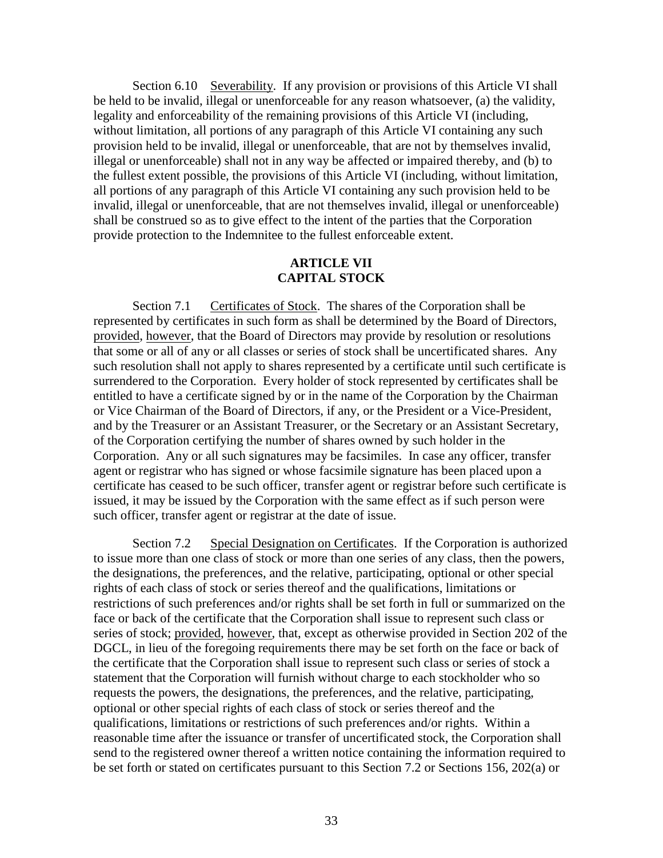Section 6.10 Severability. If any provision or provisions of this Article VI shall be held to be invalid, illegal or unenforceable for any reason whatsoever, (a) the validity, legality and enforceability of the remaining provisions of this Article VI (including, without limitation, all portions of any paragraph of this Article VI containing any such provision held to be invalid, illegal or unenforceable, that are not by themselves invalid, illegal or unenforceable) shall not in any way be affected or impaired thereby, and (b) to the fullest extent possible, the provisions of this Article VI (including, without limitation, all portions of any paragraph of this Article VI containing any such provision held to be invalid, illegal or unenforceable, that are not themselves invalid, illegal or unenforceable) shall be construed so as to give effect to the intent of the parties that the Corporation provide protection to the Indemnitee to the fullest enforceable extent.

# **ARTICLE VII CAPITAL STOCK**

Section 7.1 Certificates of Stock. The shares of the Corporation shall be represented by certificates in such form as shall be determined by the Board of Directors, provided, however, that the Board of Directors may provide by resolution or resolutions that some or all of any or all classes or series of stock shall be uncertificated shares. Any such resolution shall not apply to shares represented by a certificate until such certificate is surrendered to the Corporation. Every holder of stock represented by certificates shall be entitled to have a certificate signed by or in the name of the Corporation by the Chairman or Vice Chairman of the Board of Directors, if any, or the President or a Vice-President, and by the Treasurer or an Assistant Treasurer, or the Secretary or an Assistant Secretary, of the Corporation certifying the number of shares owned by such holder in the Corporation. Any or all such signatures may be facsimiles. In case any officer, transfer agent or registrar who has signed or whose facsimile signature has been placed upon a certificate has ceased to be such officer, transfer agent or registrar before such certificate is issued, it may be issued by the Corporation with the same effect as if such person were such officer, transfer agent or registrar at the date of issue.

Section 7.2 Special Designation on Certificates. If the Corporation is authorized to issue more than one class of stock or more than one series of any class, then the powers, the designations, the preferences, and the relative, participating, optional or other special rights of each class of stock or series thereof and the qualifications, limitations or restrictions of such preferences and/or rights shall be set forth in full or summarized on the face or back of the certificate that the Corporation shall issue to represent such class or series of stock; provided, however, that, except as otherwise provided in Section 202 of the DGCL, in lieu of the foregoing requirements there may be set forth on the face or back of the certificate that the Corporation shall issue to represent such class or series of stock a statement that the Corporation will furnish without charge to each stockholder who so requests the powers, the designations, the preferences, and the relative, participating, optional or other special rights of each class of stock or series thereof and the qualifications, limitations or restrictions of such preferences and/or rights. Within a reasonable time after the issuance or transfer of uncertificated stock, the Corporation shall send to the registered owner thereof a written notice containing the information required to be set forth or stated on certificates pursuant to this Section 7.2 or Sections 156, 202(a) or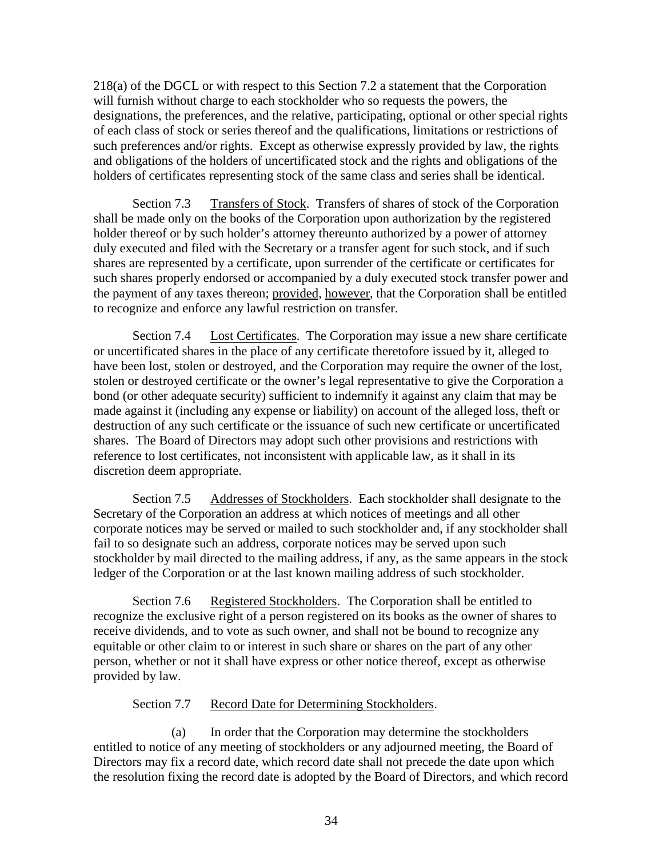218(a) of the DGCL or with respect to this Section 7.2 a statement that the Corporation will furnish without charge to each stockholder who so requests the powers, the designations, the preferences, and the relative, participating, optional or other special rights of each class of stock or series thereof and the qualifications, limitations or restrictions of such preferences and/or rights. Except as otherwise expressly provided by law, the rights and obligations of the holders of uncertificated stock and the rights and obligations of the holders of certificates representing stock of the same class and series shall be identical.

Section 7.3 Transfers of Stock. Transfers of shares of stock of the Corporation shall be made only on the books of the Corporation upon authorization by the registered holder thereof or by such holder's attorney thereunto authorized by a power of attorney duly executed and filed with the Secretary or a transfer agent for such stock, and if such shares are represented by a certificate, upon surrender of the certificate or certificates for such shares properly endorsed or accompanied by a duly executed stock transfer power and the payment of any taxes thereon; provided, however, that the Corporation shall be entitled to recognize and enforce any lawful restriction on transfer.

Section 7.4 Lost Certificates. The Corporation may issue a new share certificate or uncertificated shares in the place of any certificate theretofore issued by it, alleged to have been lost, stolen or destroyed, and the Corporation may require the owner of the lost, stolen or destroyed certificate or the owner's legal representative to give the Corporation a bond (or other adequate security) sufficient to indemnify it against any claim that may be made against it (including any expense or liability) on account of the alleged loss, theft or destruction of any such certificate or the issuance of such new certificate or uncertificated shares. The Board of Directors may adopt such other provisions and restrictions with reference to lost certificates, not inconsistent with applicable law, as it shall in its discretion deem appropriate.

Section 7.5 Addresses of Stockholders. Each stockholder shall designate to the Secretary of the Corporation an address at which notices of meetings and all other corporate notices may be served or mailed to such stockholder and, if any stockholder shall fail to so designate such an address, corporate notices may be served upon such stockholder by mail directed to the mailing address, if any, as the same appears in the stock ledger of the Corporation or at the last known mailing address of such stockholder.

Section 7.6 Registered Stockholders. The Corporation shall be entitled to recognize the exclusive right of a person registered on its books as the owner of shares to receive dividends, and to vote as such owner, and shall not be bound to recognize any equitable or other claim to or interest in such share or shares on the part of any other person, whether or not it shall have express or other notice thereof, except as otherwise provided by law.

# Section 7.7 Record Date for Determining Stockholders.

(a) In order that the Corporation may determine the stockholders entitled to notice of any meeting of stockholders or any adjourned meeting, the Board of Directors may fix a record date, which record date shall not precede the date upon which the resolution fixing the record date is adopted by the Board of Directors, and which record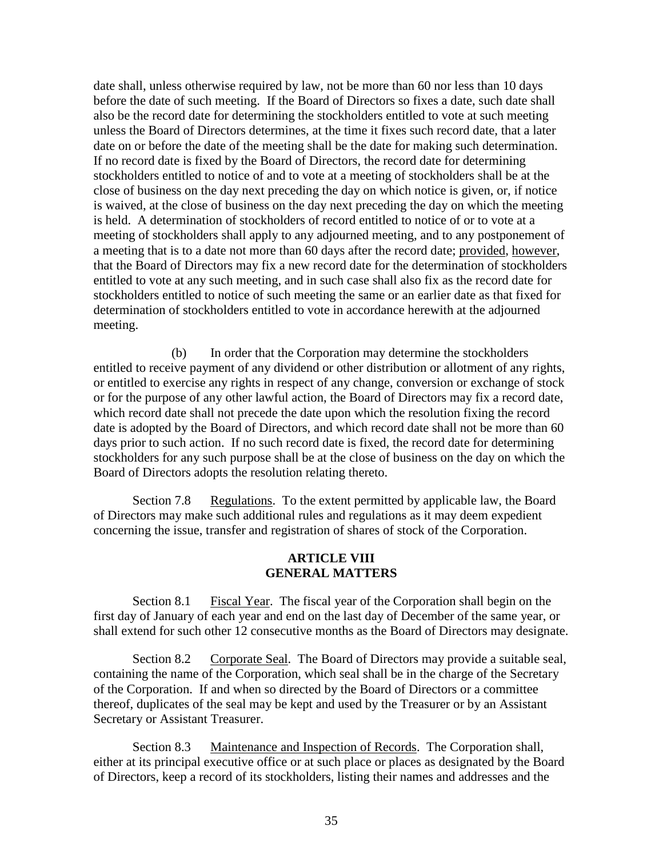date shall, unless otherwise required by law, not be more than 60 nor less than 10 days before the date of such meeting. If the Board of Directors so fixes a date, such date shall also be the record date for determining the stockholders entitled to vote at such meeting unless the Board of Directors determines, at the time it fixes such record date, that a later date on or before the date of the meeting shall be the date for making such determination. If no record date is fixed by the Board of Directors, the record date for determining stockholders entitled to notice of and to vote at a meeting of stockholders shall be at the close of business on the day next preceding the day on which notice is given, or, if notice is waived, at the close of business on the day next preceding the day on which the meeting is held. A determination of stockholders of record entitled to notice of or to vote at a meeting of stockholders shall apply to any adjourned meeting, and to any postponement of a meeting that is to a date not more than 60 days after the record date; provided, however, that the Board of Directors may fix a new record date for the determination of stockholders entitled to vote at any such meeting, and in such case shall also fix as the record date for stockholders entitled to notice of such meeting the same or an earlier date as that fixed for determination of stockholders entitled to vote in accordance herewith at the adjourned meeting.

(b) In order that the Corporation may determine the stockholders entitled to receive payment of any dividend or other distribution or allotment of any rights, or entitled to exercise any rights in respect of any change, conversion or exchange of stock or for the purpose of any other lawful action, the Board of Directors may fix a record date, which record date shall not precede the date upon which the resolution fixing the record date is adopted by the Board of Directors, and which record date shall not be more than 60 days prior to such action. If no such record date is fixed, the record date for determining stockholders for any such purpose shall be at the close of business on the day on which the Board of Directors adopts the resolution relating thereto.

Section 7.8 Regulations. To the extent permitted by applicable law, the Board of Directors may make such additional rules and regulations as it may deem expedient concerning the issue, transfer and registration of shares of stock of the Corporation.

### **ARTICLE VIII GENERAL MATTERS**

Section 8.1 Fiscal Year. The fiscal year of the Corporation shall begin on the first day of January of each year and end on the last day of December of the same year, or shall extend for such other 12 consecutive months as the Board of Directors may designate.

Section 8.2 Corporate Seal. The Board of Directors may provide a suitable seal, containing the name of the Corporation, which seal shall be in the charge of the Secretary of the Corporation. If and when so directed by the Board of Directors or a committee thereof, duplicates of the seal may be kept and used by the Treasurer or by an Assistant Secretary or Assistant Treasurer.

Section 8.3 Maintenance and Inspection of Records. The Corporation shall, either at its principal executive office or at such place or places as designated by the Board of Directors, keep a record of its stockholders, listing their names and addresses and the